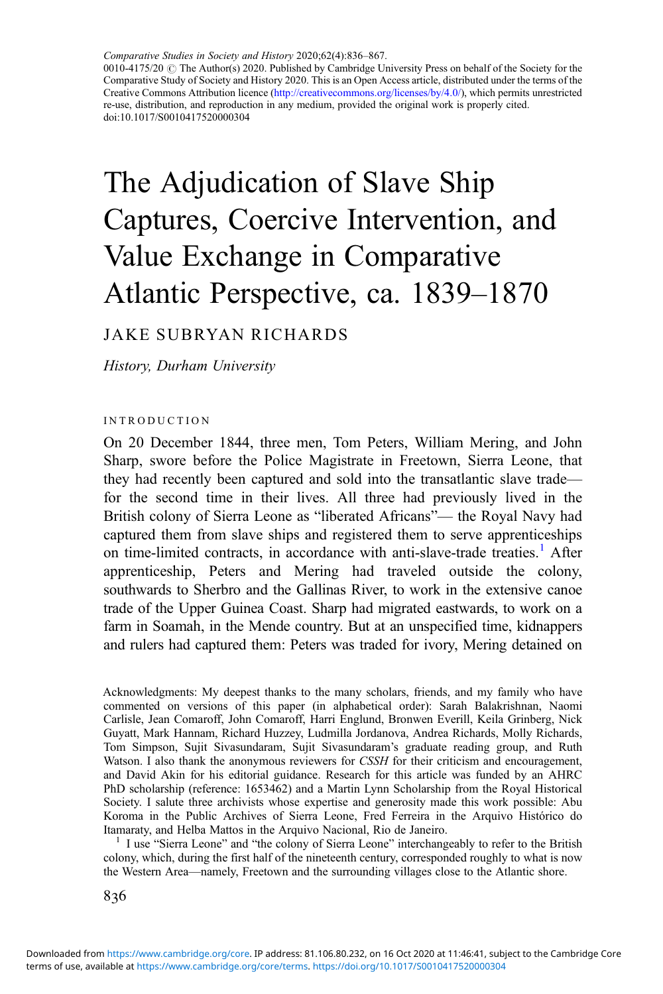Comparative Studies in Society and History 2020;62(4):836–867.

0010-4175/20  $\circledcirc$  The Author(s) 2020. Published by Cambridge University Press on behalf of the Society for the Comparative Study of Society and History 2020. This is an Open Access article, distributed under the terms of the Creative Commons Attribution licence (<http://creativecommons.org/licenses/by/4.0/>), which permits unrestricted re-use, distribution, and reproduction in any medium, provided the original work is properly cited. doi:10.1017/S0010417520000304

# The Adjudication of Slave Ship Captures, Coercive Intervention, and Value Exchange in Comparative Atlantic Perspective, ca. 1839–1870

# JAKE SUBRYAN R ICHARDS

History, Durham University

#### INTRODUCTION

On 20 December 1844, three men, Tom Peters, William Mering, and John Sharp, swore before the Police Magistrate in Freetown, Sierra Leone, that they had recently been captured and sold into the transatlantic slave trade for the second time in their lives. All three had previously lived in the British colony of Sierra Leone as "liberated Africans"— the Royal Navy had captured them from slave ships and registered them to serve apprenticeships on time-limited contracts, in accordance with anti-slave-trade treaties.<sup>1</sup> After apprenticeship, Peters and Mering had traveled outside the colony, southwards to Sherbro and the Gallinas River, to work in the extensive canoe trade of the Upper Guinea Coast. Sharp had migrated eastwards, to work on a farm in Soamah, in the Mende country. But at an unspecified time, kidnappers and rulers had captured them: Peters was traded for ivory, Mering detained on

 $\frac{1}{1}$  I use "Sierra Leone" and "the colony of Sierra Leone" interchangeably to refer to the British colony, which, during the first half of the nineteenth century, corresponded roughly to what is now the Western Area—namely, Freetown and the surrounding villages close to the Atlantic shore.

Acknowledgments: My deepest thanks to the many scholars, friends, and my family who have commented on versions of this paper (in alphabetical order): Sarah Balakrishnan, Naomi Carlisle, Jean Comaroff, John Comaroff, Harri Englund, Bronwen Everill, Keila Grinberg, Nick Guyatt, Mark Hannam, Richard Huzzey, Ludmilla Jordanova, Andrea Richards, Molly Richards, Tom Simpson, Sujit Sivasundaram, Sujit Sivasundaram's graduate reading group, and Ruth Watson. I also thank the anonymous reviewers for CSSH for their criticism and encouragement, and David Akin for his editorial guidance. Research for this article was funded by an AHRC PhD scholarship (reference: 1653462) and a Martin Lynn Scholarship from the Royal Historical Society. I salute three archivists whose expertise and generosity made this work possible: Abu Koroma in the Public Archives of Sierra Leone, Fred Ferreira in the Arquivo Histórico do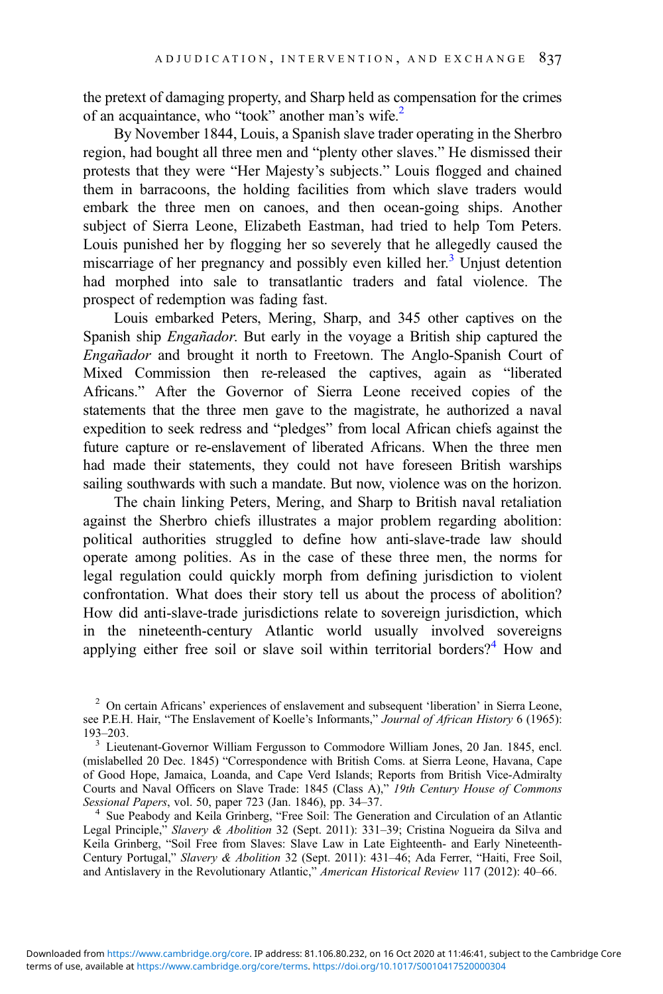the pretext of damaging property, and Sharp held as compensation for the crimes of an acquaintance, who "took" another man's wife.<sup>2</sup>

By November 1844, Louis, a Spanish slave trader operating in the Sherbro region, had bought all three men and "plenty other slaves." He dismissed their protests that they were "Her Majesty's subjects." Louis flogged and chained them in barracoons, the holding facilities from which slave traders would embark the three men on canoes, and then ocean-going ships. Another subject of Sierra Leone, Elizabeth Eastman, had tried to help Tom Peters. Louis punished her by flogging her so severely that he allegedly caused the miscarriage of her pregnancy and possibly even killed her.<sup>3</sup> Unjust detention had morphed into sale to transatlantic traders and fatal violence. The prospect of redemption was fading fast.

Louis embarked Peters, Mering, Sharp, and 345 other captives on the Spanish ship Engañador. But early in the voyage a British ship captured the Engañador and brought it north to Freetown. The Anglo-Spanish Court of Mixed Commission then re-released the captives, again as "liberated Africans." After the Governor of Sierra Leone received copies of the statements that the three men gave to the magistrate, he authorized a naval expedition to seek redress and "pledges" from local African chiefs against the future capture or re-enslavement of liberated Africans. When the three men had made their statements, they could not have foreseen British warships sailing southwards with such a mandate. But now, violence was on the horizon.

The chain linking Peters, Mering, and Sharp to British naval retaliation against the Sherbro chiefs illustrates a major problem regarding abolition: political authorities struggled to define how anti-slave-trade law should operate among polities. As in the case of these three men, the norms for legal regulation could quickly morph from defining jurisdiction to violent confrontation. What does their story tell us about the process of abolition? How did anti-slave-trade jurisdictions relate to sovereign jurisdiction, which in the nineteenth-century Atlantic world usually involved sovereigns applying either free soil or slave soil within territorial borders?<sup>4</sup> How and

<sup>4</sup> Sue Peabody and Keila Grinberg, "Free Soil: The Generation and Circulation of an Atlantic Legal Principle," Slavery & Abolition 32 (Sept. 2011): 331-39; Cristina Nogueira da Silva and Keila Grinberg, "Soil Free from Slaves: Slave Law in Late Eighteenth- and Early Nineteenth-Century Portugal," Slavery & Abolition 32 (Sept. 2011): 431–46; Ada Ferrer, "Haiti, Free Soil, and Antislavery in the Revolutionary Atlantic," American Historical Review 117 (2012): 40–66.

<sup>&</sup>lt;sup>2</sup> On certain Africans' experiences of enslavement and subsequent 'liberation' in Sierra Leone, see P.E.H. Hair, "The Enslavement of Koelle's Informants," Journal of African History 6 (1965): <sup>193</sup>–203. <sup>3</sup> Lieutenant-Governor William Fergusson to Commodore William Jones, 20 Jan. 1845, encl.

<sup>(</sup>mislabelled 20 Dec. 1845) "Correspondence with British Coms. at Sierra Leone, Havana, Cape of Good Hope, Jamaica, Loanda, and Cape Verd Islands; Reports from British Vice-Admiralty Courts and Naval Officers on Slave Trade: 1845 (Class A)," 19th Century House of Commons Sessional Papers, vol. 50, paper 723 (Jan. 1846), pp. 34–37.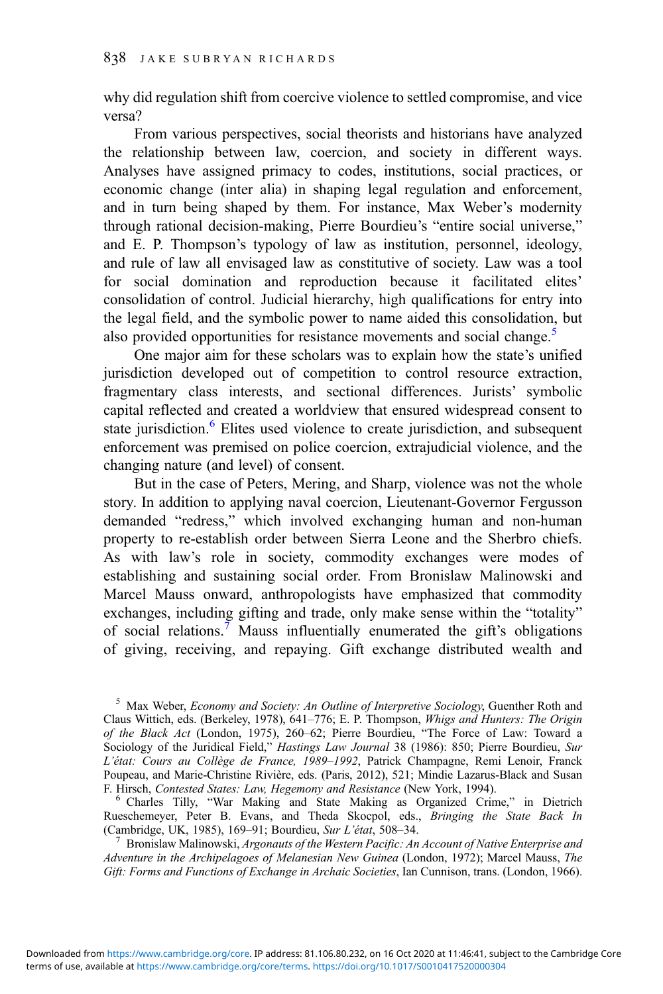why did regulation shift from coercive violence to settled compromise, and vice versa?

From various perspectives, social theorists and historians have analyzed the relationship between law, coercion, and society in different ways. Analyses have assigned primacy to codes, institutions, social practices, or economic change (inter alia) in shaping legal regulation and enforcement, and in turn being shaped by them. For instance, Max Weber's modernity through rational decision-making, Pierre Bourdieu's "entire social universe," and E. P. Thompson's typology of law as institution, personnel, ideology, and rule of law all envisaged law as constitutive of society. Law was a tool for social domination and reproduction because it facilitated elites' consolidation of control. Judicial hierarchy, high qualifications for entry into the legal field, and the symbolic power to name aided this consolidation, but also provided opportunities for resistance movements and social change.<sup>5</sup>

One major aim for these scholars was to explain how the state's unified jurisdiction developed out of competition to control resource extraction, fragmentary class interests, and sectional differences. Jurists' symbolic capital reflected and created a worldview that ensured widespread consent to state jurisdiction.<sup>6</sup> Elites used violence to create jurisdiction, and subsequent enforcement was premised on police coercion, extrajudicial violence, and the changing nature (and level) of consent.

But in the case of Peters, Mering, and Sharp, violence was not the whole story. In addition to applying naval coercion, Lieutenant-Governor Fergusson demanded "redress," which involved exchanging human and non-human property to re-establish order between Sierra Leone and the Sherbro chiefs. As with law's role in society, commodity exchanges were modes of establishing and sustaining social order. From Bronislaw Malinowski and Marcel Mauss onward, anthropologists have emphasized that commodity exchanges, including gifting and trade, only make sense within the "totality" of social relations.7 Mauss influentially enumerated the gift's obligations of giving, receiving, and repaying. Gift exchange distributed wealth and

 $<sup>5</sup>$  Max Weber, *Economy and Society: An Outline of Interpretive Sociology*, Guenther Roth and</sup> Claus Wittich, eds. (Berkeley, 1978), 641–776; E. P. Thompson, Whigs and Hunters: The Origin of the Black Act (London, 1975), 260–62; Pierre Bourdieu, "The Force of Law: Toward a Sociology of the Juridical Field," Hastings Law Journal 38 (1986): 850; Pierre Bourdieu, Sur L'état: Cours au Collège de France, 1989–1992, Patrick Champagne, Remi Lenoir, Franck Poupeau, and Marie-Christine Rivière, eds. (Paris, 2012), 521; Mindie Lazarus-Black and Susan F. Hirsch, Contested States: Law, Hegemony and Resistance (New York, 1994).<br><sup>6</sup> Charles Tilly, "War Making and State Making as Organized Crime," in Dietrich

Rueschemeyer, Peter B. Evans, and Theda Skocpol, eds., *Bringing the State Back In* (Cambridge, UK, 1985), 169–91; Bourdieu, *Sur L'état*, 508–34.

Bronislaw Malinowski, Argonauts of the Western Pacific: An Account of Native Enterprise and Adventure in the Archipelagoes of Melanesian New Guinea (London, 1972); Marcel Mauss, The Gift: Forms and Functions of Exchange in Archaic Societies, Ian Cunnison, trans. (London, 1966).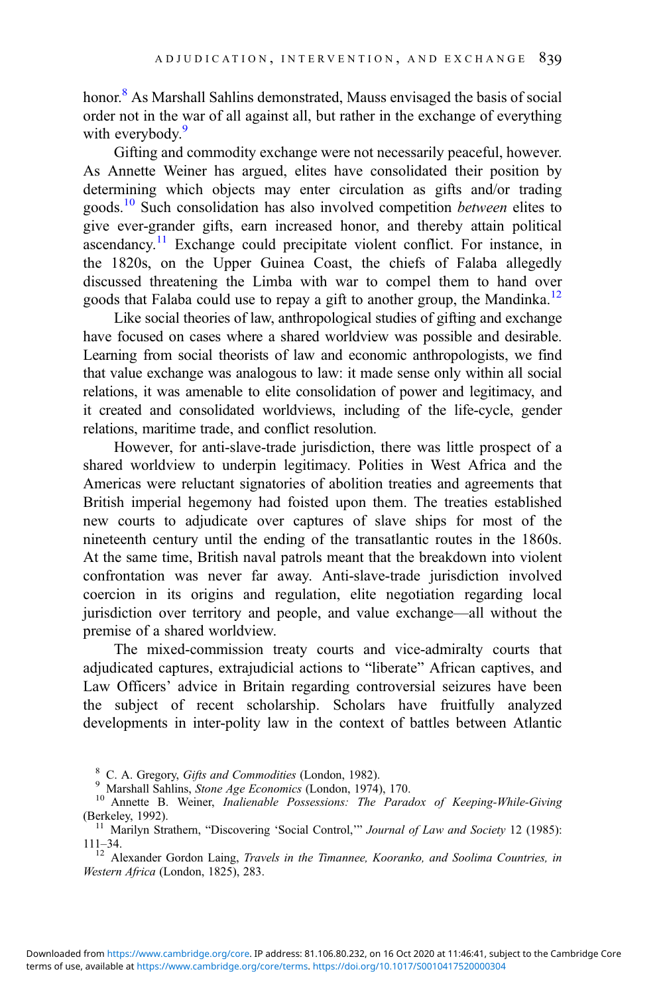honor.<sup>8</sup> As Marshall Sahlins demonstrated, Mauss envisaged the basis of social order not in the war of all against all, but rather in the exchange of everything with everybody.<sup>9</sup>

Gifting and commodity exchange were not necessarily peaceful, however. As Annette Weiner has argued, elites have consolidated their position by determining which objects may enter circulation as gifts and/or trading goods.<sup>10</sup> Such consolidation has also involved competition between elites to give ever-grander gifts, earn increased honor, and thereby attain political ascendancy.<sup>11</sup> Exchange could precipitate violent conflict. For instance, in the 1820s, on the Upper Guinea Coast, the chiefs of Falaba allegedly discussed threatening the Limba with war to compel them to hand over goods that Falaba could use to repay a gift to another group, the Mandinka.<sup>12</sup>

Like social theories of law, anthropological studies of gifting and exchange have focused on cases where a shared worldview was possible and desirable. Learning from social theorists of law and economic anthropologists, we find that value exchange was analogous to law: it made sense only within all social relations, it was amenable to elite consolidation of power and legitimacy, and it created and consolidated worldviews, including of the life-cycle, gender relations, maritime trade, and conflict resolution.

However, for anti-slave-trade jurisdiction, there was little prospect of a shared worldview to underpin legitimacy. Polities in West Africa and the Americas were reluctant signatories of abolition treaties and agreements that British imperial hegemony had foisted upon them. The treaties established new courts to adjudicate over captures of slave ships for most of the nineteenth century until the ending of the transatlantic routes in the 1860s. At the same time, British naval patrols meant that the breakdown into violent confrontation was never far away. Anti-slave-trade jurisdiction involved coercion in its origins and regulation, elite negotiation regarding local jurisdiction over territory and people, and value exchange—all without the premise of a shared worldview.

The mixed-commission treaty courts and vice-admiralty courts that adjudicated captures, extrajudicial actions to "liberate" African captives, and Law Officers' advice in Britain regarding controversial seizures have been the subject of recent scholarship. Scholars have fruitfully analyzed developments in inter-polity law in the context of battles between Atlantic

Western Africa (London, 1825), 283.

<sup>&</sup>lt;sup>8</sup> C. A. Gregory, *Gifts and Commodities* (London, 1982).<br><sup>9</sup> Marshall Sahlins, *Stone Age Economics* (London, 1974), 170.<br><sup>10</sup> Annette B. Weiner, *Inalienable Possessions: The Paradox of Keeping-While-Giving*<br>(Berkeley,

<sup>&</sup>lt;sup>11</sup> Marilyn Strathern, "Discovering 'Social Control," Journal of Law and Society 12 (1985): 111–34.<br><sup>12</sup> Alexander Gordon Laing, *Travels in the Timannee, Kooranko, and Soolima Countries, in*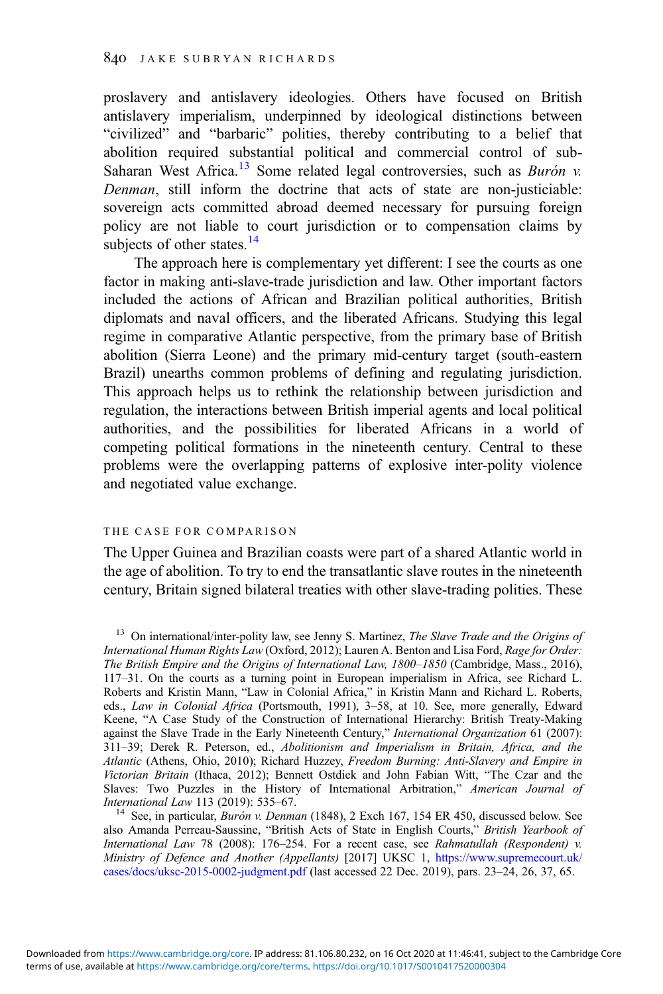proslavery and antislavery ideologies. Others have focused on British antislavery imperialism, underpinned by ideological distinctions between "civilized" and "barbaric" polities, thereby contributing to a belief that abolition required substantial political and commercial control of sub-Saharan West Africa.<sup>13</sup> Some related legal controversies, such as *Burón v*. Denman, still inform the doctrine that acts of state are non-justiciable: sovereign acts committed abroad deemed necessary for pursuing foreign policy are not liable to court jurisdiction or to compensation claims by subjects of other states. $14$ 

The approach here is complementary yet different: I see the courts as one factor in making anti-slave-trade jurisdiction and law. Other important factors included the actions of African and Brazilian political authorities, British diplomats and naval officers, and the liberated Africans. Studying this legal regime in comparative Atlantic perspective, from the primary base of British abolition (Sierra Leone) and the primary mid-century target (south-eastern Brazil) unearths common problems of defining and regulating jurisdiction. This approach helps us to rethink the relationship between jurisdiction and regulation, the interactions between British imperial agents and local political authorities, and the possibilities for liberated Africans in a world of competing political formations in the nineteenth century. Central to these problems were the overlapping patterns of explosive inter-polity violence and negotiated value exchange.

#### THE CASE FOR COMPARISON

The Upper Guinea and Brazilian coasts were part of a shared Atlantic world in the age of abolition. To try to end the transatlantic slave routes in the nineteenth century, Britain signed bilateral treaties with other slave-trading polities. These

 $13$  On international/inter-polity law, see Jenny S. Martinez, The Slave Trade and the Origins of International Human Rights Law (Oxford, 2012); Lauren A. Benton and Lisa Ford, Rage for Order: The British Empire and the Origins of International Law, 1800–1850 (Cambridge, Mass., 2016), 117–31. On the courts as a turning point in European imperialism in Africa, see Richard L. Roberts and Kristin Mann, "Law in Colonial Africa," in Kristin Mann and Richard L. Roberts, eds., Law in Colonial Africa (Portsmouth, 1991), 3–58, at 10. See, more generally, Edward Keene, "A Case Study of the Construction of International Hierarchy: British Treaty-Making against the Slave Trade in the Early Nineteenth Century," *International Organization* 61 (2007): 311–39; Derek R. Peterson, ed., Abolitionism and Imperialism in Britain, Africa, and the Atlantic (Athens, Ohio, 2010); Richard Huzzey, Freedom Burning: Anti-Slavery and Empire in Victorian Britain (Ithaca, 2012); Bennett Ostdiek and John Fabian Witt, "The Czar and the Slaves: Two Puzzles in the History of International Arbitration," American Journal of International Law 113 (2019): 535–67.

<sup>&</sup>lt;sup>14</sup> See, in particular, *Burón v. Denman* (1848), 2 Exch 167, 154 ER 450, discussed below. See also Amanda Perreau-Saussine, "British Acts of State in English Courts," British Yearbook of International Law 78 (2008): 176–254. For a recent case, see Rahmatullah (Respondent) v. Ministry of Defence and Another (Appellants) [2017] UKSC 1, [https://www.supremecourt.uk/](https://www.supremecourt.uk/cases/docs/uksc-2015-0002-judgment.pdf) [cases/docs/uksc-2015-0002-judgment.pdf](https://www.supremecourt.uk/cases/docs/uksc-2015-0002-judgment.pdf) (last accessed 22 Dec. 2019), pars. 23–24, 26, 37, 65.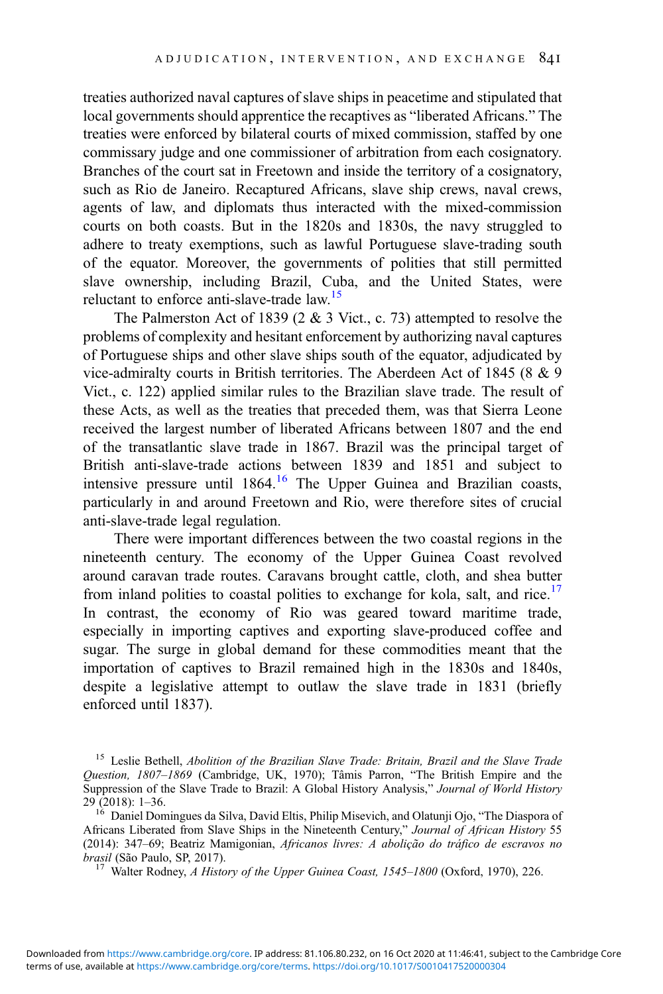treaties authorized naval captures of slave ships in peacetime and stipulated that local governments should apprentice the recaptives as "liberated Africans." The treaties were enforced by bilateral courts of mixed commission, staffed by one commissary judge and one commissioner of arbitration from each cosignatory. Branches of the court sat in Freetown and inside the territory of a cosignatory, such as Rio de Janeiro. Recaptured Africans, slave ship crews, naval crews, agents of law, and diplomats thus interacted with the mixed-commission courts on both coasts. But in the 1820s and 1830s, the navy struggled to adhere to treaty exemptions, such as lawful Portuguese slave-trading south of the equator. Moreover, the governments of polities that still permitted slave ownership, including Brazil, Cuba, and the United States, were reluctant to enforce anti-slave-trade law.<sup>15</sup>

The Palmerston Act of 1839 (2 & 3 Vict., c. 73) attempted to resolve the problems of complexity and hesitant enforcement by authorizing naval captures of Portuguese ships and other slave ships south of the equator, adjudicated by vice-admiralty courts in British territories. The Aberdeen Act of 1845 (8 & 9 Vict., c. 122) applied similar rules to the Brazilian slave trade. The result of these Acts, as well as the treaties that preceded them, was that Sierra Leone received the largest number of liberated Africans between 1807 and the end of the transatlantic slave trade in 1867. Brazil was the principal target of British anti-slave-trade actions between 1839 and 1851 and subject to intensive pressure until  $1864$ .<sup>16</sup> The Upper Guinea and Brazilian coasts, particularly in and around Freetown and Rio, were therefore sites of crucial anti-slave-trade legal regulation.

There were important differences between the two coastal regions in the nineteenth century. The economy of the Upper Guinea Coast revolved around caravan trade routes. Caravans brought cattle, cloth, and shea butter from inland polities to coastal polities to exchange for kola, salt, and rice.<sup>17</sup> In contrast, the economy of Rio was geared toward maritime trade, especially in importing captives and exporting slave-produced coffee and sugar. The surge in global demand for these commodities meant that the importation of captives to Brazil remained high in the 1830s and 1840s, despite a legislative attempt to outlaw the slave trade in 1831 (briefly enforced until 1837).

<sup>&</sup>lt;sup>15</sup> Leslie Bethell, *Abolition of the Brazilian Slave Trade: Britain, Brazil and the Slave Trade* Question, 1807–1869 (Cambridge, UK, 1970); Tâmis Parron, "The British Empire and the Suppression of the Slave Trade to Brazil: A Global History Analysis," Journal of World History 29 (2018): 1–36.

<sup>&</sup>lt;sup>16</sup> Daniel Domingues da Silva, David Eltis, Philip Misevich, and Olatunji Ojo, "The Diaspora of Africans Liberated from Slave Ships in the Nineteenth Century," Journal of African History 55 (2014): 347–69; Beatriz Mamigonian, Africanos livres: A abolição do tráfico de escravos no

<sup>&</sup>lt;sup>17</sup> Walter Rodney, A History of the Upper Guinea Coast, 1545–1800 (Oxford, 1970), 226.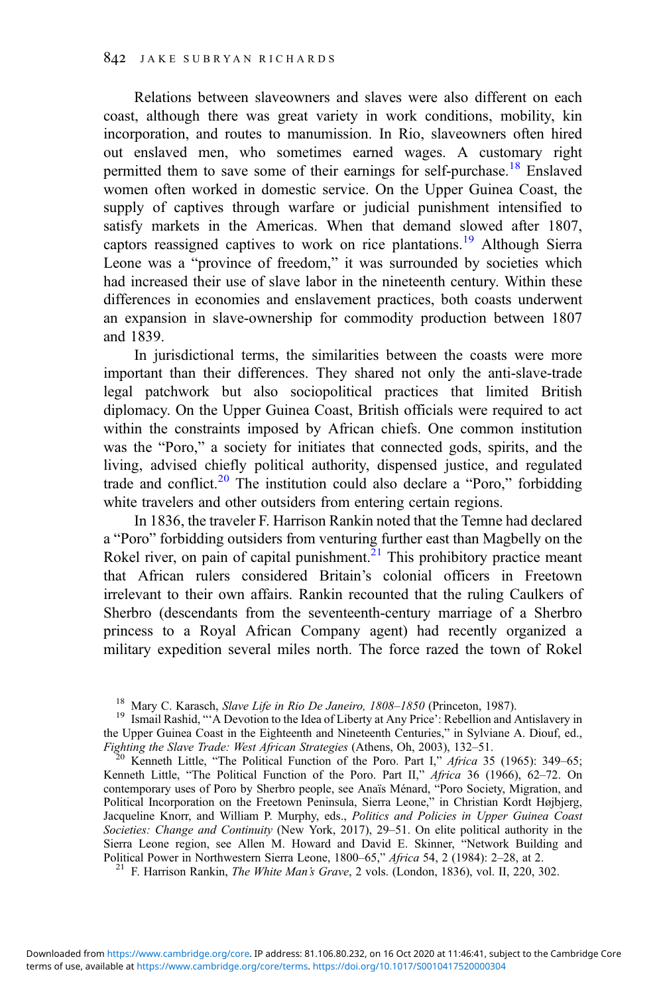Relations between slaveowners and slaves were also different on each coast, although there was great variety in work conditions, mobility, kin incorporation, and routes to manumission. In Rio, slaveowners often hired out enslaved men, who sometimes earned wages. A customary right permitted them to save some of their earnings for self-purchase.<sup>18</sup> Enslaved women often worked in domestic service. On the Upper Guinea Coast, the supply of captives through warfare or judicial punishment intensified to satisfy markets in the Americas. When that demand slowed after 1807, captors reassigned captives to work on rice plantations.<sup>19</sup> Although Sierra Leone was a "province of freedom," it was surrounded by societies which had increased their use of slave labor in the nineteenth century. Within these differences in economies and enslavement practices, both coasts underwent an expansion in slave-ownership for commodity production between 1807 and 1839.

In jurisdictional terms, the similarities between the coasts were more important than their differences. They shared not only the anti-slave-trade legal patchwork but also sociopolitical practices that limited British diplomacy. On the Upper Guinea Coast, British officials were required to act within the constraints imposed by African chiefs. One common institution was the "Poro," a society for initiates that connected gods, spirits, and the living, advised chiefly political authority, dispensed justice, and regulated trade and conflict.<sup>20</sup> The institution could also declare a "Poro," forbidding white travelers and other outsiders from entering certain regions.

In 1836, the traveler F. Harrison Rankin noted that the Temne had declared a "Poro" forbidding outsiders from venturing further east than Magbelly on the Rokel river, on pain of capital punishment. $21$  This prohibitory practice meant that African rulers considered Britain's colonial officers in Freetown irrelevant to their own affairs. Rankin recounted that the ruling Caulkers of Sherbro (descendants from the seventeenth-century marriage of a Sherbro princess to a Royal African Company agent) had recently organized a military expedition several miles north. The force razed the town of Rokel

<sup>21</sup> F. Harrison Rankin, *The White Man's Grave*, 2 vols. (London, 1836), vol. II, 220, 302.

<sup>&</sup>lt;sup>18</sup> Mary C. Karasch, *Slave Life in Rio De Janeiro, 1808–1850* (Princeton, 1987). 19 Ismail Rashid, "'A Devotion to the Idea of Liberty at Any Price': Rebellion and Antislavery in the Upper Guinea Coast in the Eighteenth and Nineteenth Centuries," in Sylviane A. Diouf, ed., Fighting the Slave Trade: West African Strategies (Athens, Oh, 2003), 132-51.

 $F<sup>10</sup>$  Kenneth Little, "The Political Function of the Poro. Part I," Africa 35 (1965): 349–65; Kenneth Little, "The Political Function of the Poro. Part II," Africa 36 (1966), 62–72. On contemporary uses of Poro by Sherbro people, see Anaïs Ménard, "Poro Society, Migration, and Political Incorporation on the Freetown Peninsula, Sierra Leone," in Christian Kordt Højbjerg, Jacqueline Knorr, and William P. Murphy, eds., Politics and Policies in Upper Guinea Coast Societies: Change and Continuity (New York, 2017), 29–51. On elite political authority in the Sierra Leone region, see Allen M. Howard and David E. Skinner, "Network Building and Political Power in Northwestern Sierra Leone, 1800–65," Africa 54, 2 (1984): 2–28, at 2.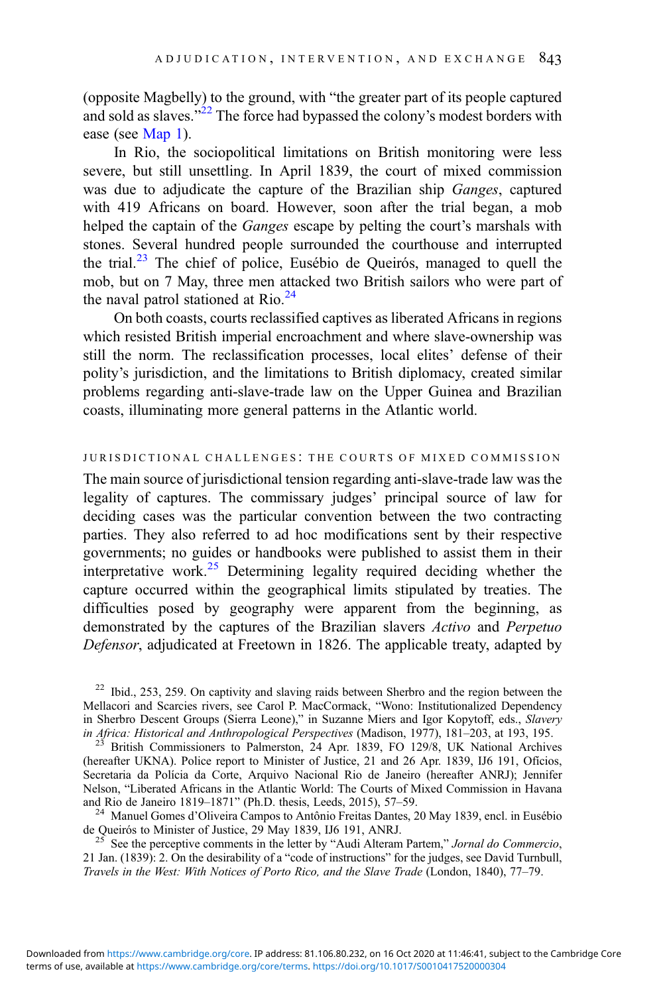(opposite Magbelly) to the ground, with "the greater part of its people captured and sold as slaves."<sup>22</sup> The force had bypassed the colony's modest borders with ease (see [Map 1](#page-8-0)).

In Rio, the sociopolitical limitations on British monitoring were less severe, but still unsettling. In April 1839, the court of mixed commission was due to adjudicate the capture of the Brazilian ship Ganges, captured with 419 Africans on board. However, soon after the trial began, a mob helped the captain of the Ganges escape by pelting the court's marshals with stones. Several hundred people surrounded the courthouse and interrupted the trial.<sup>23</sup> The chief of police, Eusébio de Queirós, managed to quell the mob, but on 7 May, three men attacked two British sailors who were part of the naval patrol stationed at Rio. $^{24}$ 

On both coasts, courts reclassified captives as liberated Africans in regions which resisted British imperial encroachment and where slave-ownership was still the norm. The reclassification processes, local elites' defense of their polity's jurisdiction, and the limitations to British diplomacy, created similar problems regarding anti-slave-trade law on the Upper Guinea and Brazilian coasts, illuminating more general patterns in the Atlantic world.

## JURISDICTIONAL CHALLENGES : THE COURTS OF MIXED COMMISSION

The main source of jurisdictional tension regarding anti-slave-trade law was the legality of captures. The commissary judges' principal source of law for deciding cases was the particular convention between the two contracting parties. They also referred to ad hoc modifications sent by their respective governments; no guides or handbooks were published to assist them in their interpretative work.<sup>25</sup> Determining legality required deciding whether the capture occurred within the geographical limits stipulated by treaties. The difficulties posed by geography were apparent from the beginning, as demonstrated by the captures of the Brazilian slavers Activo and Perpetuo Defensor, adjudicated at Freetown in 1826. The applicable treaty, adapted by

 $22$  Ibid., 253, 259. On captivity and slaving raids between Sherbro and the region between the Mellacori and Scarcies rivers, see Carol P. MacCormack, "Wono: Institutionalized Dependency in Sherbro Descent Groups (Sierra Leone)," in Suzanne Miers and Igor Kopytoff, eds., Slavery in Africa: Historical and Anthropological Perspectives (Madison, 1977), 181–203, at 193, 195.

British Commissioners to Palmerston, 24 Apr. 1839, FO 129/8, UK National Archives (hereafter UKNA). Police report to Minister of Justice, 21 and 26 Apr. 1839, IJ6 191, Ofícios, Secretaria da Polícia da Corte, Arquivo Nacional Rio de Janeiro (hereafter ANRJ); Jennifer Nelson, "Liberated Africans in the Atlantic World: The Courts of Mixed Commission in Havana and Rio de Janeiro 1819–1871" (Ph.D. thesis, Leeds, 2015), 57–59.

<sup>24</sup> Manuel Gomes d'Oliveira Campos to Antônio Freitas Dantes, 20 May 1839, encl. in Eusébio de Queirós to Minister of Justice, 29 May 1839, 1J6 191, ANRJ.

See the perceptive comments in the letter by "Audi Alteram Partem," Jornal do Commercio, 21 Jan. (1839): 2. On the desirability of a "code of instructions" for the judges, see David Turnbull, Travels in the West: With Notices of Porto Rico, and the Slave Trade (London, 1840), 77–79.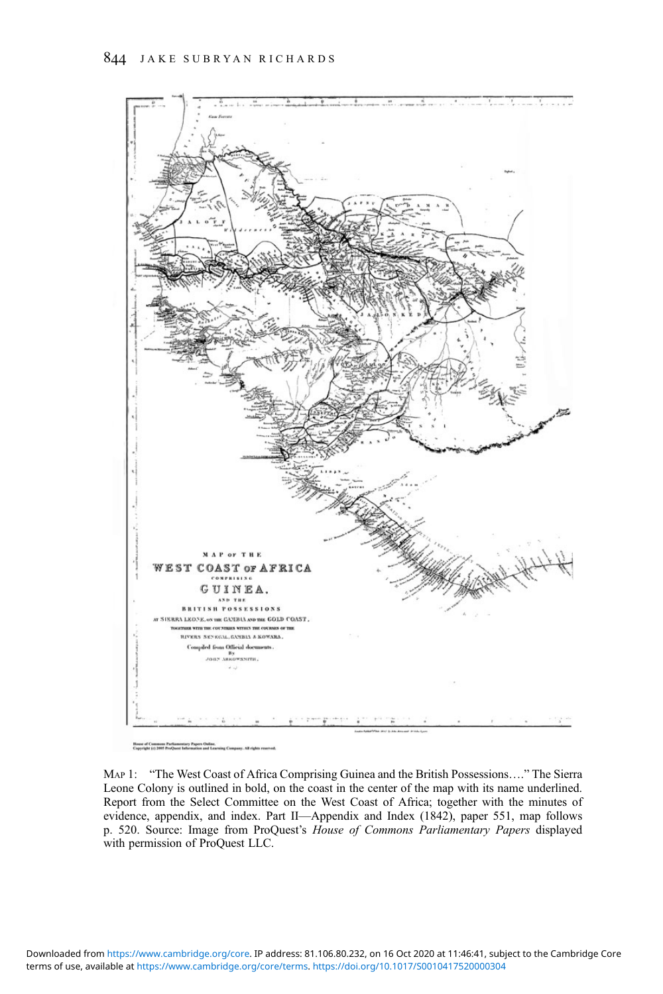<span id="page-8-0"></span>

MAP 1: "The West Coast of Africa Comprising Guinea and the British Possessions…." The Sierra Leone Colony is outlined in bold, on the coast in the center of the map with its name underlined. Report from the Select Committee on the West Coast of Africa; together with the minutes of evidence, appendix, and index. Part II—Appendix and Index (1842), paper 551, map follows p. 520. Source: Image from ProQuest's House of Commons Parliamentary Papers displayed with permission of ProQuest LLC.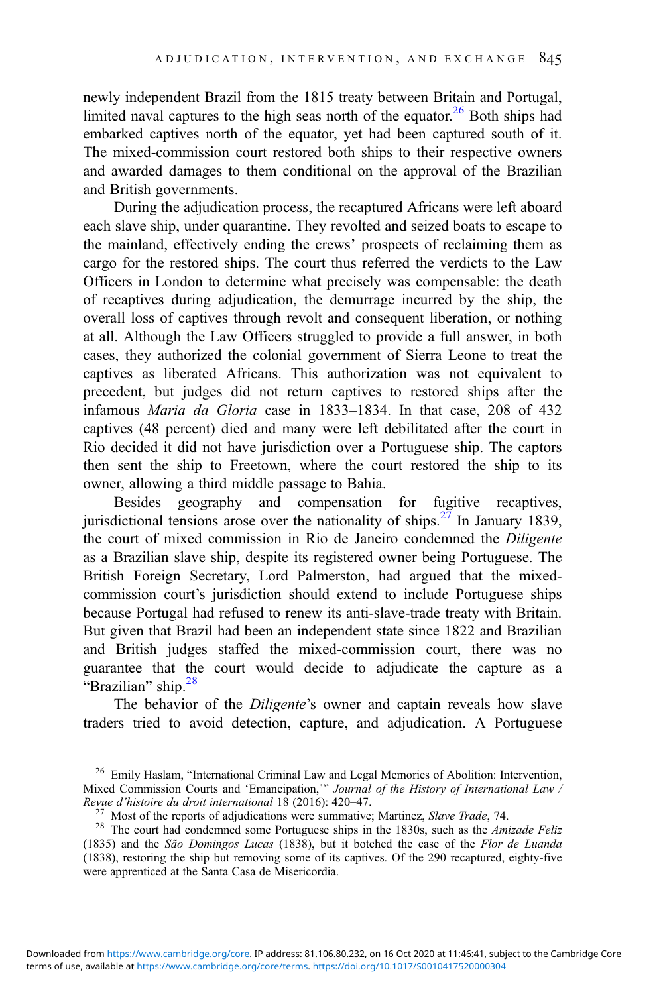newly independent Brazil from the 1815 treaty between Britain and Portugal, limited naval captures to the high seas north of the equator. $^{26}$  Both ships had embarked captives north of the equator, yet had been captured south of it. The mixed-commission court restored both ships to their respective owners and awarded damages to them conditional on the approval of the Brazilian and British governments.

During the adjudication process, the recaptured Africans were left aboard each slave ship, under quarantine. They revolted and seized boats to escape to the mainland, effectively ending the crews' prospects of reclaiming them as cargo for the restored ships. The court thus referred the verdicts to the Law Officers in London to determine what precisely was compensable: the death of recaptives during adjudication, the demurrage incurred by the ship, the overall loss of captives through revolt and consequent liberation, or nothing at all. Although the Law Officers struggled to provide a full answer, in both cases, they authorized the colonial government of Sierra Leone to treat the captives as liberated Africans. This authorization was not equivalent to precedent, but judges did not return captives to restored ships after the infamous Maria da Gloria case in 1833–1834. In that case, 208 of 432 captives (48 percent) died and many were left debilitated after the court in Rio decided it did not have jurisdiction over a Portuguese ship. The captors then sent the ship to Freetown, where the court restored the ship to its owner, allowing a third middle passage to Bahia.

Besides geography and compensation for fugitive recaptives, jurisdictional tensions arose over the nationality of ships.<sup>27</sup> In January 1839, the court of mixed commission in Rio de Janeiro condemned the Diligente as a Brazilian slave ship, despite its registered owner being Portuguese. The British Foreign Secretary, Lord Palmerston, had argued that the mixedcommission court's jurisdiction should extend to include Portuguese ships because Portugal had refused to renew its anti-slave-trade treaty with Britain. But given that Brazil had been an independent state since 1822 and Brazilian and British judges staffed the mixed-commission court, there was no guarantee that the court would decide to adjudicate the capture as a "Brazilian" ship.<sup>28</sup>

The behavior of the *Diligente's* owner and captain reveals how slave traders tried to avoid detection, capture, and adjudication. A Portuguese

<sup>&</sup>lt;sup>26</sup> Emily Haslam, "International Criminal Law and Legal Memories of Abolition: Intervention, Mixed Commission Courts and 'Emancipation,'" Journal of the History of International Law / Revue d'histoire du droit international 18 (2016): 420–47.

<sup>&</sup>lt;sup>27</sup> Most of the reports of adjudications were summative; Martinez, *Slave Trade*, 74.<br><sup>28</sup> The court had condemned some Portuguese ships in the 1830s, such as the *Amizade Feliz* (1835) and the São Domingos Lucas (1838), but it botched the case of the Flor de Luanda (1838), restoring the ship but removing some of its captives. Of the 290 recaptured, eighty-five were apprenticed at the Santa Casa de Misericordia.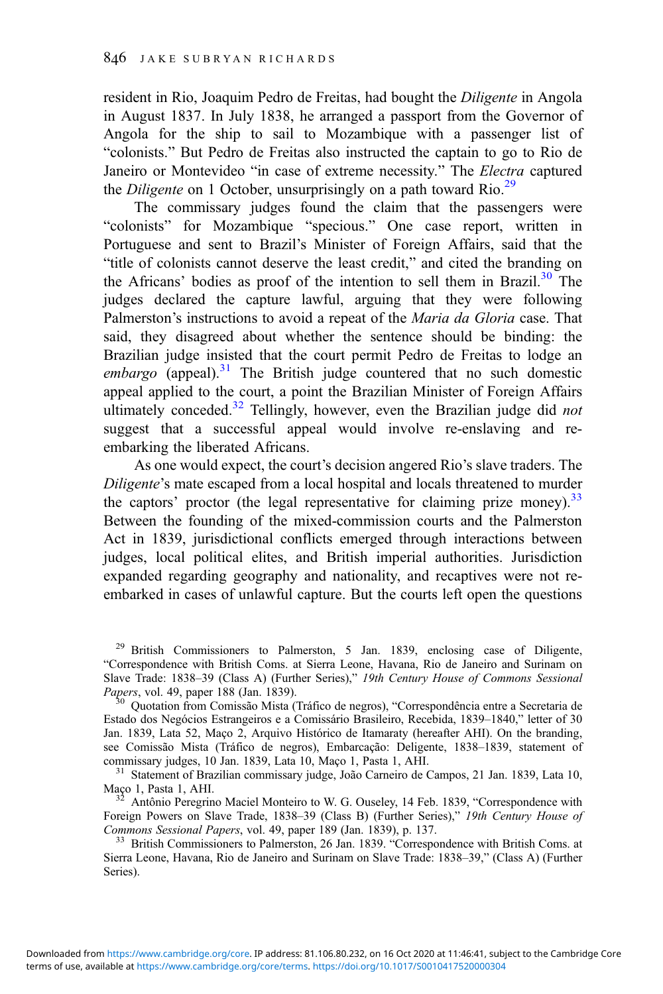resident in Rio, Joaquim Pedro de Freitas, had bought the Diligente in Angola in August 1837. In July 1838, he arranged a passport from the Governor of Angola for the ship to sail to Mozambique with a passenger list of "colonists." But Pedro de Freitas also instructed the captain to go to Rio de Janeiro or Montevideo "in case of extreme necessity." The Electra captured the *Diligente* on 1 October, unsurprisingly on a path toward Rio.<sup>29</sup>

The commissary judges found the claim that the passengers were "colonists" for Mozambique "specious." One case report, written in Portuguese and sent to Brazil's Minister of Foreign Affairs, said that the "title of colonists cannot deserve the least credit," and cited the branding on the Africans' bodies as proof of the intention to sell them in Brazil. $30$  The judges declared the capture lawful, arguing that they were following Palmerston's instructions to avoid a repeat of the *Maria da Gloria* case. That said, they disagreed about whether the sentence should be binding: the Brazilian judge insisted that the court permit Pedro de Freitas to lodge an *embargo* (appeal).<sup>31</sup> The British judge countered that no such domestic appeal applied to the court, a point the Brazilian Minister of Foreign Affairs ultimately conceded.<sup>32</sup> Tellingly, however, even the Brazilian judge did *not* suggest that a successful appeal would involve re-enslaving and reembarking the liberated Africans.

As one would expect, the court's decision angered Rio's slave traders. The Diligente's mate escaped from a local hospital and locals threatened to murder the captors' proctor (the legal representative for claiming prize money).<sup>33</sup> Between the founding of the mixed-commission courts and the Palmerston Act in 1839, jurisdictional conflicts emerged through interactions between judges, local political elites, and British imperial authorities. Jurisdiction expanded regarding geography and nationality, and recaptives were not reembarked in cases of unlawful capture. But the courts left open the questions

Foreign Powers on Slave Trade, 1838–39 (Class B) (Further Series)," 19th Century House of Commons Sessional Papers, vol. 49, paper 189 (Jan. 1839), p. 137.

<sup>&</sup>lt;sup>29</sup> British Commissioners to Palmerston, 5 Jan. 1839, enclosing case of Diligente, "Correspondence with British Coms. at Sierra Leone, Havana, Rio de Janeiro and Surinam on Slave Trade: 1838–39 (Class A) (Further Series)," 19th Century House of Commons Sessional Papers, vol. 49, paper 188 (Jan. 1839). <sup>30</sup> Quotation from Comissão Mista (Tráfico de negros), "Correspondência entre a Secretaria de

Estado dos Negócios Estrangeiros e a Comissário Brasileiro, Recebida, 1839–1840," letter of 30 Jan. 1839, Lata 52, Maço 2, Arquivo Histórico de Itamaraty (hereafter AHI). On the branding, see Comissão Mista (Tráfico de negros), Embarcação: Deligente, 1838–1839, statement of commissary judges, 10 Jan. 1839, Lata 10, Maço 1, Pasta 1, AHI.

<sup>&</sup>lt;sup>31</sup> Statement of Brazilian commissary judge, João Carneiro de Campos, 21 Jan. 1839, Lata 10, Maço 1, Pasta 1, AHI.<br><sup>32</sup> Antônio Peregrino Maciel Monteiro to W. G. Ouseley, 14 Feb. 1839, "Correspondence with

 $33$  British Commissioners to Palmerston, 26 Jan. 1839. "Correspondence with British Coms. at Sierra Leone, Havana, Rio de Janeiro and Surinam on Slave Trade: 1838–39," (Class A) (Further Series).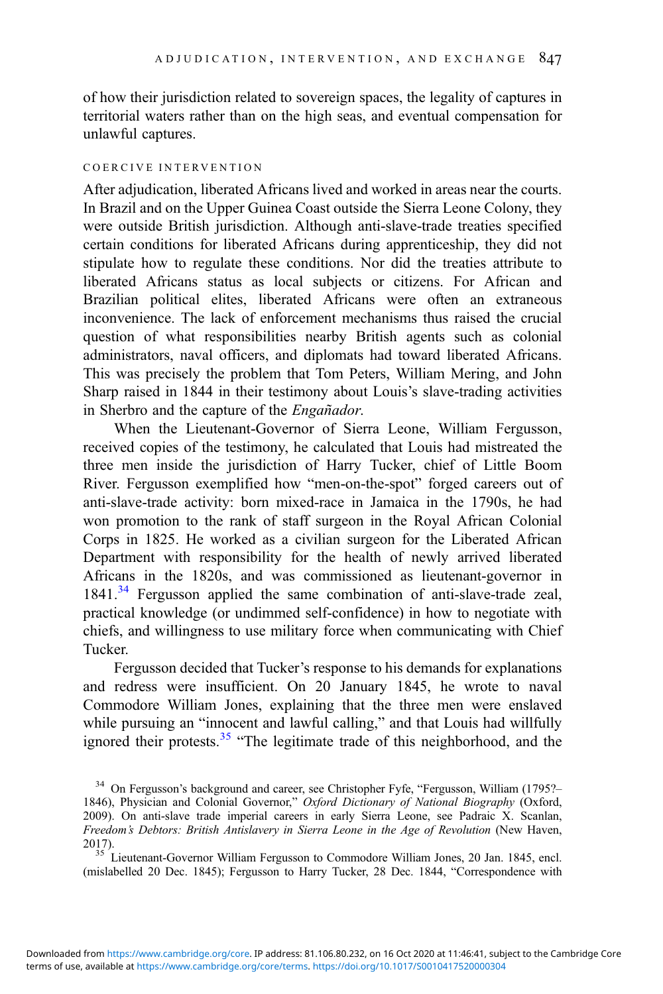of how their jurisdiction related to sovereign spaces, the legality of captures in territorial waters rather than on the high seas, and eventual compensation for unlawful captures.

#### COERCIVE INTERVENTION

After adjudication, liberated Africans lived and worked in areas near the courts. In Brazil and on the Upper Guinea Coast outside the Sierra Leone Colony, they were outside British jurisdiction. Although anti-slave-trade treaties specified certain conditions for liberated Africans during apprenticeship, they did not stipulate how to regulate these conditions. Nor did the treaties attribute to liberated Africans status as local subjects or citizens. For African and Brazilian political elites, liberated Africans were often an extraneous inconvenience. The lack of enforcement mechanisms thus raised the crucial question of what responsibilities nearby British agents such as colonial administrators, naval officers, and diplomats had toward liberated Africans. This was precisely the problem that Tom Peters, William Mering, and John Sharp raised in 1844 in their testimony about Louis's slave-trading activities in Sherbro and the capture of the Engañador.

When the Lieutenant-Governor of Sierra Leone, William Fergusson, received copies of the testimony, he calculated that Louis had mistreated the three men inside the jurisdiction of Harry Tucker, chief of Little Boom River. Fergusson exemplified how "men-on-the-spot" forged careers out of anti-slave-trade activity: born mixed-race in Jamaica in the 1790s, he had won promotion to the rank of staff surgeon in the Royal African Colonial Corps in 1825. He worked as a civilian surgeon for the Liberated African Department with responsibility for the health of newly arrived liberated Africans in the 1820s, and was commissioned as lieutenant-governor in 1841.<sup>34</sup> Fergusson applied the same combination of anti-slave-trade zeal, practical knowledge (or undimmed self-confidence) in how to negotiate with chiefs, and willingness to use military force when communicating with Chief Tucker.

Fergusson decided that Tucker's response to his demands for explanations and redress were insufficient. On 20 January 1845, he wrote to naval Commodore William Jones, explaining that the three men were enslaved while pursuing an "innocent and lawful calling," and that Louis had willfully ignored their protests. $35$  "The legitimate trade of this neighborhood, and the

<sup>34</sup> On Fergusson's background and career, see Christopher Fyfe, "Fergusson, William (1795?-1846), Physician and Colonial Governor," Oxford Dictionary of National Biography (Oxford, 2009). On anti-slave trade imperial careers in early Sierra Leone, see Padraic X. Scanlan, Freedom's Debtors: British Antislavery in Sierra Leone in the Age of Revolution (New Haven,

2017).<br> $35$  Lieutenant-Governor William Fergusson to Commodore William Jones, 20 Jan. 1845, encl. (mislabelled 20 Dec. 1845); Fergusson to Harry Tucker, 28 Dec. 1844, "Correspondence with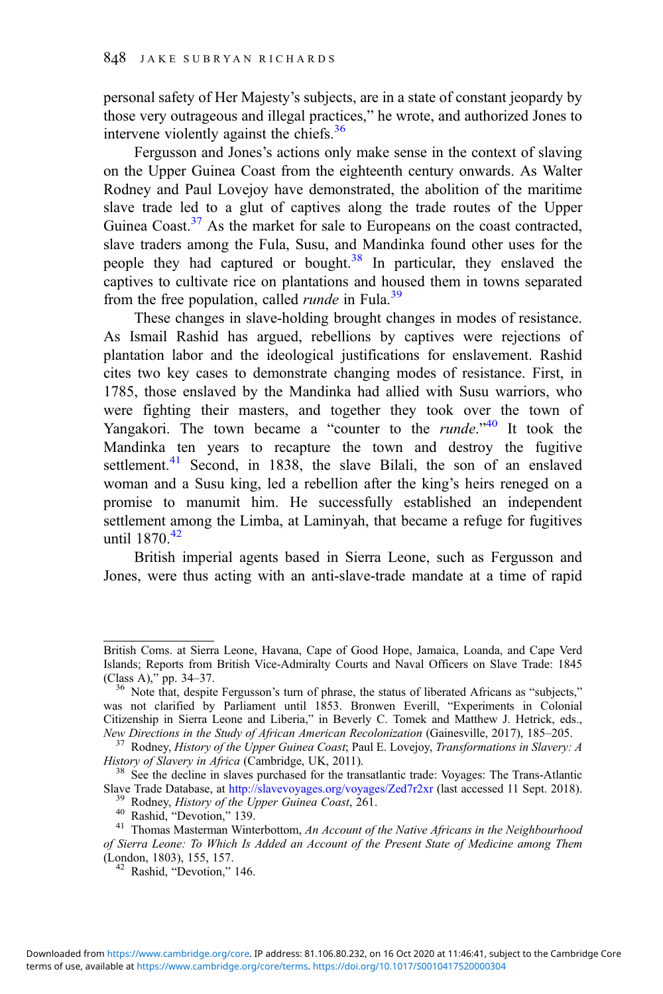personal safety of Her Majesty's subjects, are in a state of constant jeopardy by those very outrageous and illegal practices," he wrote, and authorized Jones to intervene violently against the chiefs.<sup>36</sup>

Fergusson and Jones's actions only make sense in the context of slaving on the Upper Guinea Coast from the eighteenth century onwards. As Walter Rodney and Paul Lovejoy have demonstrated, the abolition of the maritime slave trade led to a glut of captives along the trade routes of the Upper Guinea Coast. $37$  As the market for sale to Europeans on the coast contracted, slave traders among the Fula, Susu, and Mandinka found other uses for the people they had captured or bought.<sup>38</sup> In particular, they enslaved the captives to cultivate rice on plantations and housed them in towns separated from the free population, called *runde* in Fula.<sup>39</sup>

These changes in slave-holding brought changes in modes of resistance. As Ismail Rashid has argued, rebellions by captives were rejections of plantation labor and the ideological justifications for enslavement. Rashid cites two key cases to demonstrate changing modes of resistance. First, in 1785, those enslaved by the Mandinka had allied with Susu warriors, who were fighting their masters, and together they took over the town of Yangakori. The town became a "counter to the *runde*."<sup>40</sup> It took the Mandinka ten years to recapture the town and destroy the fugitive settlement. $41$  Second, in 1838, the slave Bilali, the son of an enslaved woman and a Susu king, led a rebellion after the king's heirs reneged on a promise to manumit him. He successfully established an independent settlement among the Limba, at Laminyah, that became a refuge for fugitives until 1870.<sup>42</sup>

British imperial agents based in Sierra Leone, such as Fergusson and Jones, were thus acting with an anti-slave-trade mandate at a time of rapid

British Coms. at Sierra Leone, Havana, Cape of Good Hope, Jamaica, Loanda, and Cape Verd Islands; Reports from British Vice-Admiralty Courts and Naval Officers on Slave Trade: 1845 (Class A)," pp. 34–37.  $\frac{36}{16}$  Note that, despite Fergusson's turn of phrase, the status of liberated Africans as "subjects,"

was not clarified by Parliament until 1853. Bronwen Everill, "Experiments in Colonial Citizenship in Sierra Leone and Liberia," in Beverly C. Tomek and Matthew J. Hetrick, eds., New Directions in the Study of African American Recolonization (Gainesville, 2017), 185–205.

<sup>&</sup>lt;sup>37</sup> Rodney, *History of the Upper Guinea Coast*; Paul E. Lovejoy, *Transformations in Slavery: A History of Slavery in Africa* (Cambridge, UK, 2011).

<sup>&</sup>lt;sup>38</sup> See the decline in slaves purchased for the transatlantic trade: Voyages: The Trans-Atlantic Slave Trade Database, at <http://slavevoyages.org/voyages/Zed7r2xr> (last accessed 11 Sept. 2018).<br><sup>39</sup> Rodney, *History of the Upper Guinea Coast*, 261.<br><sup>40</sup> Rashid, "Devotion," 139.<br><sup>41</sup> Thomas Masterman Winterbottom, An

of Sierra Leone: To Which Is Added an Account of the Present State of Medicine among Them

 $42$  Rashid, "Devotion," 146.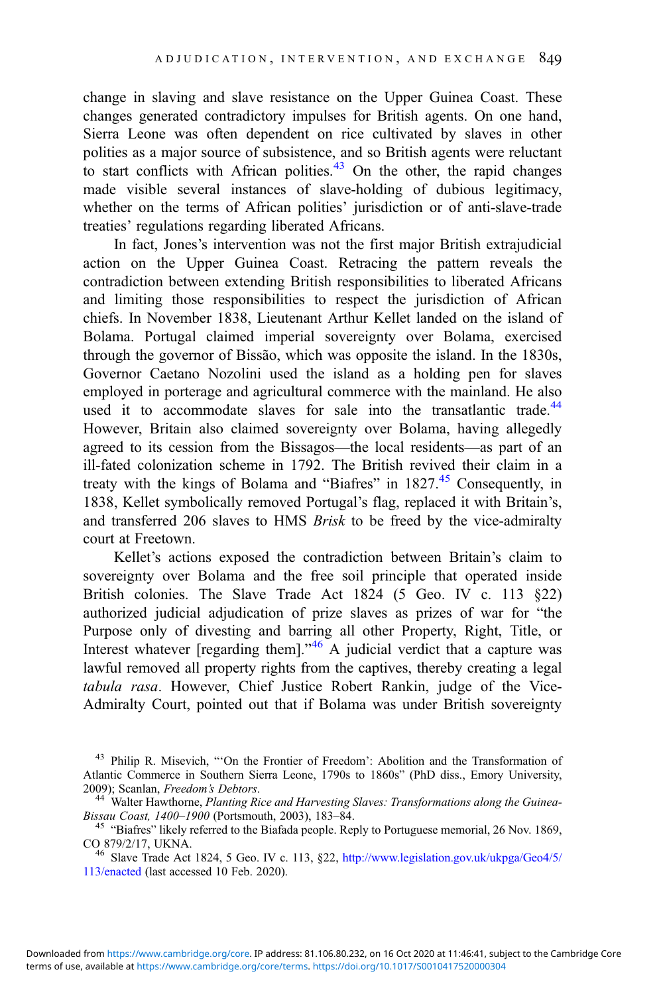change in slaving and slave resistance on the Upper Guinea Coast. These changes generated contradictory impulses for British agents. On one hand, Sierra Leone was often dependent on rice cultivated by slaves in other polities as a major source of subsistence, and so British agents were reluctant to start conflicts with African polities.<sup>43</sup> On the other, the rapid changes made visible several instances of slave-holding of dubious legitimacy, whether on the terms of African polities' jurisdiction or of anti-slave-trade treaties' regulations regarding liberated Africans.

In fact, Jones's intervention was not the first major British extrajudicial action on the Upper Guinea Coast. Retracing the pattern reveals the contradiction between extending British responsibilities to liberated Africans and limiting those responsibilities to respect the jurisdiction of African chiefs. In November 1838, Lieutenant Arthur Kellet landed on the island of Bolama. Portugal claimed imperial sovereignty over Bolama, exercised through the governor of Bissão, which was opposite the island. In the 1830s, Governor Caetano Nozolini used the island as a holding pen for slaves employed in porterage and agricultural commerce with the mainland. He also used it to accommodate slaves for sale into the transatlantic trade.<sup>44</sup> However, Britain also claimed sovereignty over Bolama, having allegedly agreed to its cession from the Bissagos—the local residents—as part of an ill-fated colonization scheme in 1792. The British revived their claim in a treaty with the kings of Bolama and "Biafres" in  $1827<sup>45</sup>$  Consequently, in 1838, Kellet symbolically removed Portugal's flag, replaced it with Britain's, and transferred 206 slaves to HMS Brisk to be freed by the vice-admiralty court at Freetown.

Kellet's actions exposed the contradiction between Britain's claim to sovereignty over Bolama and the free soil principle that operated inside British colonies. The Slave Trade Act 1824 (5 Geo. IV c. 113 §22) authorized judicial adjudication of prize slaves as prizes of war for "the Purpose only of divesting and barring all other Property, Right, Title, or Interest whatever [regarding them]."<sup>46</sup> A judicial verdict that a capture was lawful removed all property rights from the captives, thereby creating a legal tabula rasa. However, Chief Justice Robert Rankin, judge of the Vice-Admiralty Court, pointed out that if Bolama was under British sovereignty

<sup>46</sup> Slave Trade Act 1824, 5 Geo. IV c. 113, §22, [http://www.legislation.gov.uk/ukpga/Geo4/5/](http://www.legislation.gov.uk/ukpga/Geo4/5/113/enacted) [113/enacted](http://www.legislation.gov.uk/ukpga/Geo4/5/113/enacted) (last accessed 10 Feb. 2020).

<sup>&</sup>lt;sup>43</sup> Philip R. Misevich, "'On the Frontier of Freedom': Abolition and the Transformation of Atlantic Commerce in Southern Sierra Leone, 1790s to 1860s" (PhD diss., Emory University, 2009); Scanlan, Freedom's Debtors.<br><sup>44</sup> Walter Hawthorne, Planting Rice and Harvesting Slaves: Transformations along the Guinea-

Bissau Coast, 1400–1900 (Portsmouth, 2003), 183–84.<br><sup>45</sup> "Biafres" likely referred to the Biafada people. Reply to Portuguese memorial, 26 Nov. 1869, CO 879/2/17, UKNA.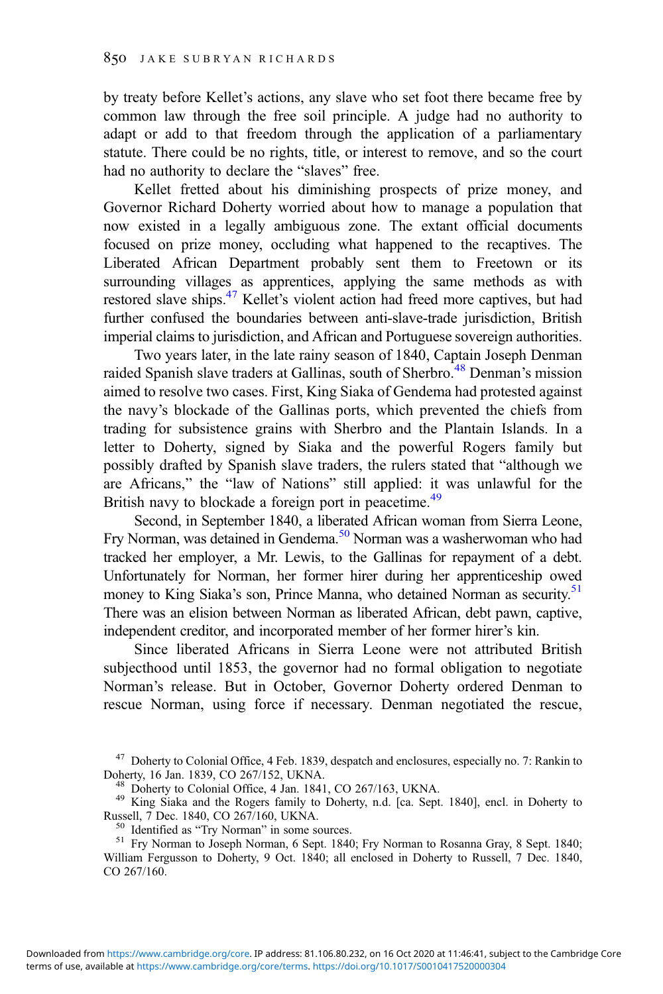by treaty before Kellet's actions, any slave who set foot there became free by common law through the free soil principle. A judge had no authority to adapt or add to that freedom through the application of a parliamentary statute. There could be no rights, title, or interest to remove, and so the court had no authority to declare the "slaves" free.

Kellet fretted about his diminishing prospects of prize money, and Governor Richard Doherty worried about how to manage a population that now existed in a legally ambiguous zone. The extant official documents focused on prize money, occluding what happened to the recaptives. The Liberated African Department probably sent them to Freetown or its surrounding villages as apprentices, applying the same methods as with restored slave ships.<sup>47</sup> Kellet's violent action had freed more captives, but had further confused the boundaries between anti-slave-trade jurisdiction, British imperial claims to jurisdiction, and African and Portuguese sovereign authorities.

Two years later, in the late rainy season of 1840, Captain Joseph Denman raided Spanish slave traders at Gallinas, south of Sherbro.<sup>48</sup> Denman's mission aimed to resolve two cases. First, King Siaka of Gendema had protested against the navy's blockade of the Gallinas ports, which prevented the chiefs from trading for subsistence grains with Sherbro and the Plantain Islands. In a letter to Doherty, signed by Siaka and the powerful Rogers family but possibly drafted by Spanish slave traders, the rulers stated that "although we are Africans," the "law of Nations" still applied: it was unlawful for the British navy to blockade a foreign port in peacetime.<sup>49</sup>

Second, in September 1840, a liberated African woman from Sierra Leone, Fry Norman, was detained in Gendema.<sup>50</sup> Norman was a washerwoman who had tracked her employer, a Mr. Lewis, to the Gallinas for repayment of a debt. Unfortunately for Norman, her former hirer during her apprenticeship owed money to King Siaka's son, Prince Manna, who detained Norman as security.<sup>51</sup> There was an elision between Norman as liberated African, debt pawn, captive, independent creditor, and incorporated member of her former hirer's kin.

Since liberated Africans in Sierra Leone were not attributed British subjecthood until 1853, the governor had no formal obligation to negotiate Norman's release. But in October, Governor Doherty ordered Denman to rescue Norman, using force if necessary. Denman negotiated the rescue,

 $47$  Doherty to Colonial Office, 4 Feb. 1839, despatch and enclosures, especially no. 7: Rankin to Doherty, 16 Jan. 1839, CO 267/152, UKNA.

<sup>&</sup>lt;sup>48</sup> Doherty to Colonial Office, 4 Jan. 1841, CO 267/163, UKNA.  $^{49}$  King Siaka and the Rogers family to Doherty, n.d. [ca. Sept. 1840], encl. in Doherty to Russell, 7 Dec. 1840, CO 267/160, UKNA.

 $80$  Identified as "Try Norman" in some sources.<br>  $81$  Fry Norman to Rosanna Gray, 8 Sept. 1840; Fry Norman to Rosanna Gray, 8 Sept. 1840; William Fergusson to Doherty, 9 Oct. 1840; all enclosed in Doherty to Russell, 7 Dec. 1840, CO 267/160.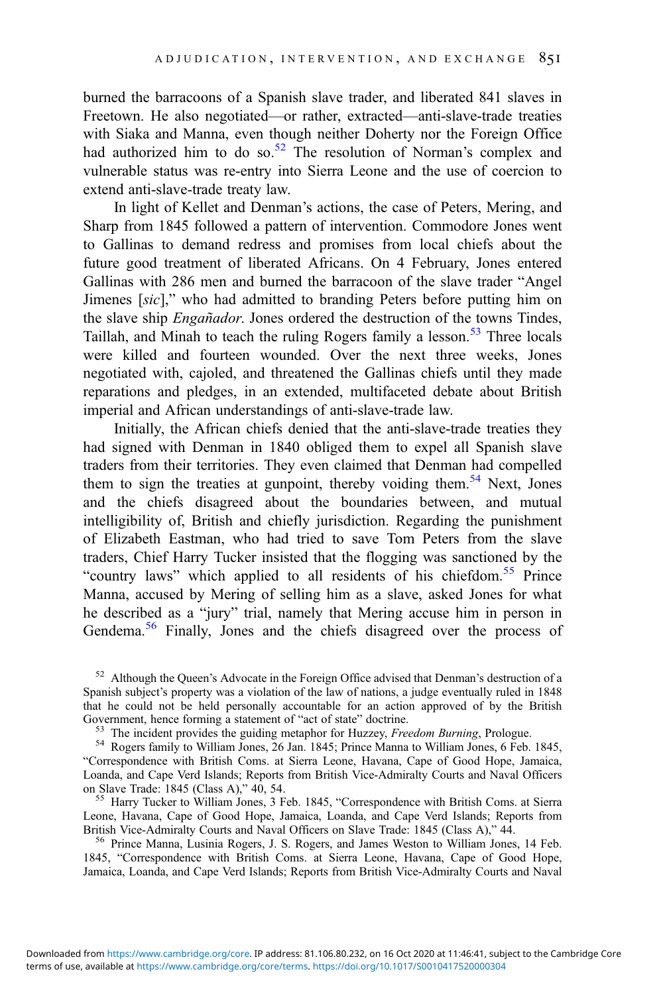burned the barracoons of a Spanish slave trader, and liberated 841 slaves in Freetown. He also negotiated—or rather, extracted—anti-slave-trade treaties with Siaka and Manna, even though neither Doherty nor the Foreign Office had authorized him to do so.<sup>52</sup> The resolution of Norman's complex and vulnerable status was re-entry into Sierra Leone and the use of coercion to extend anti-slave-trade treaty law.

In light of Kellet and Denman's actions, the case of Peters, Mering, and Sharp from 1845 followed a pattern of intervention. Commodore Jones went to Gallinas to demand redress and promises from local chiefs about the future good treatment of liberated Africans. On 4 February, Jones entered Gallinas with 286 men and burned the barracoon of the slave trader "Angel Jimenes [sic]," who had admitted to branding Peters before putting him on the slave ship Engañador. Jones ordered the destruction of the towns Tindes, Taillah, and Minah to teach the ruling Rogers family a lesson.<sup>53</sup> Three locals were killed and fourteen wounded. Over the next three weeks, Jones negotiated with, cajoled, and threatened the Gallinas chiefs until they made reparations and pledges, in an extended, multifaceted debate about British imperial and African understandings of anti-slave-trade law.

Initially, the African chiefs denied that the anti-slave-trade treaties they had signed with Denman in 1840 obliged them to expel all Spanish slave traders from their territories. They even claimed that Denman had compelled them to sign the treaties at gunpoint, thereby voiding them.<sup>54</sup> Next, Jones and the chiefs disagreed about the boundaries between, and mutual intelligibility of, British and chiefly jurisdiction. Regarding the punishment of Elizabeth Eastman, who had tried to save Tom Peters from the slave traders, Chief Harry Tucker insisted that the flogging was sanctioned by the "country laws" which applied to all residents of his chiefdom.<sup>55</sup> Prince Manna, accused by Mering of selling him as a slave, asked Jones for what he described as a "jury" trial, namely that Mering accuse him in person in Gendema.<sup>56</sup> Finally, Jones and the chiefs disagreed over the process of

 $52$  Although the Queen's Advocate in the Foreign Office advised that Denman's destruction of a Spanish subject's property was a violation of the law of nations, a judge eventually ruled in 1848 that he could not be held personally accountable for an action approved of by the British Government, hence forming a statement of "act of state" doctrine.

 $^{53}$  The incident provides the guiding metaphor for Huzzey, *Freedom Burning*, Prologue.<br><sup>54</sup> Rogers family to William Jones, 26 Jan. 1845; Prince Manna to William Jones, 6 Feb. 1845, "Correspondence with British Coms. at Sierra Leone, Havana, Cape of Good Hope, Jamaica, Loanda, and Cape Verd Islands; Reports from British Vice-Admiralty Courts and Naval Officers

<sup>55</sup> Harry Tucker to William Jones, 3 Feb. 1845, "Correspondence with British Coms. at Sierra Leone, Havana, Cape of Good Hope, Jamaica, Loanda, and Cape Verd Islands; Reports from British Vice-Admiralty Courts and Naval Officers on Slave Trade: 1845 (Class A)," 44.

<sup>56</sup> Prince Manna, Lusinia Rogers, J. S. Rogers, and James Weston to William Jones, 14 Feb. 1845, "Correspondence with British Coms. at Sierra Leone, Havana, Cape of Good Hope, Jamaica, Loanda, and Cape Verd Islands; Reports from British Vice-Admiralty Courts and Naval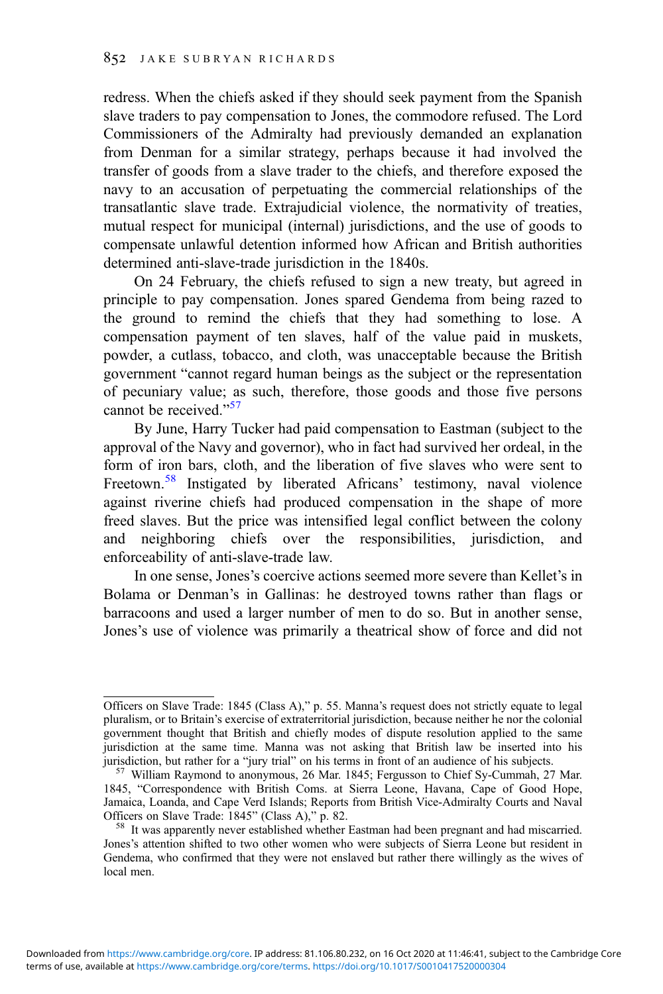redress. When the chiefs asked if they should seek payment from the Spanish slave traders to pay compensation to Jones, the commodore refused. The Lord Commissioners of the Admiralty had previously demanded an explanation from Denman for a similar strategy, perhaps because it had involved the transfer of goods from a slave trader to the chiefs, and therefore exposed the navy to an accusation of perpetuating the commercial relationships of the transatlantic slave trade. Extrajudicial violence, the normativity of treaties, mutual respect for municipal (internal) jurisdictions, and the use of goods to compensate unlawful detention informed how African and British authorities determined anti-slave-trade jurisdiction in the 1840s.

On 24 February, the chiefs refused to sign a new treaty, but agreed in principle to pay compensation. Jones spared Gendema from being razed to the ground to remind the chiefs that they had something to lose. A compensation payment of ten slaves, half of the value paid in muskets, powder, a cutlass, tobacco, and cloth, was unacceptable because the British government "cannot regard human beings as the subject or the representation of pecuniary value; as such, therefore, those goods and those five persons cannot be received."<sup>57</sup>

By June, Harry Tucker had paid compensation to Eastman (subject to the approval of the Navy and governor), who in fact had survived her ordeal, in the form of iron bars, cloth, and the liberation of five slaves who were sent to Freetown.<sup>58</sup> Instigated by liberated Africans' testimony, naval violence against riverine chiefs had produced compensation in the shape of more freed slaves. But the price was intensified legal conflict between the colony and neighboring chiefs over the responsibilities, jurisdiction, and enforceability of anti-slave-trade law.

In one sense, Jones's coercive actions seemed more severe than Kellet's in Bolama or Denman's in Gallinas: he destroyed towns rather than flags or barracoons and used a larger number of men to do so. But in another sense, Jones's use of violence was primarily a theatrical show of force and did not

Officers on Slave Trade: 1845 (Class A)," p. 55. Manna's request does not strictly equate to legal pluralism, or to Britain's exercise of extraterritorial jurisdiction, because neither he nor the colonial government thought that British and chiefly modes of dispute resolution applied to the same jurisdiction at the same time. Manna was not asking that British law be inserted into his

 $57$  William Raymond to anonymous, 26 Mar. 1845; Fergusson to Chief Sy-Cummah, 27 Mar. 1845, "Correspondence with British Coms. at Sierra Leone, Havana, Cape of Good Hope, Jamaica, Loanda, and Cape Verd Islands; Reports from British Vice-Admiralty Courts and Naval Officers on Slave Trade: 1845" (Class A)," p. 82.

 $58$  It was apparently never established whether Eastman had been pregnant and had miscarried. Jones's attention shifted to two other women who were subjects of Sierra Leone but resident in Gendema, who confirmed that they were not enslaved but rather there willingly as the wives of local men.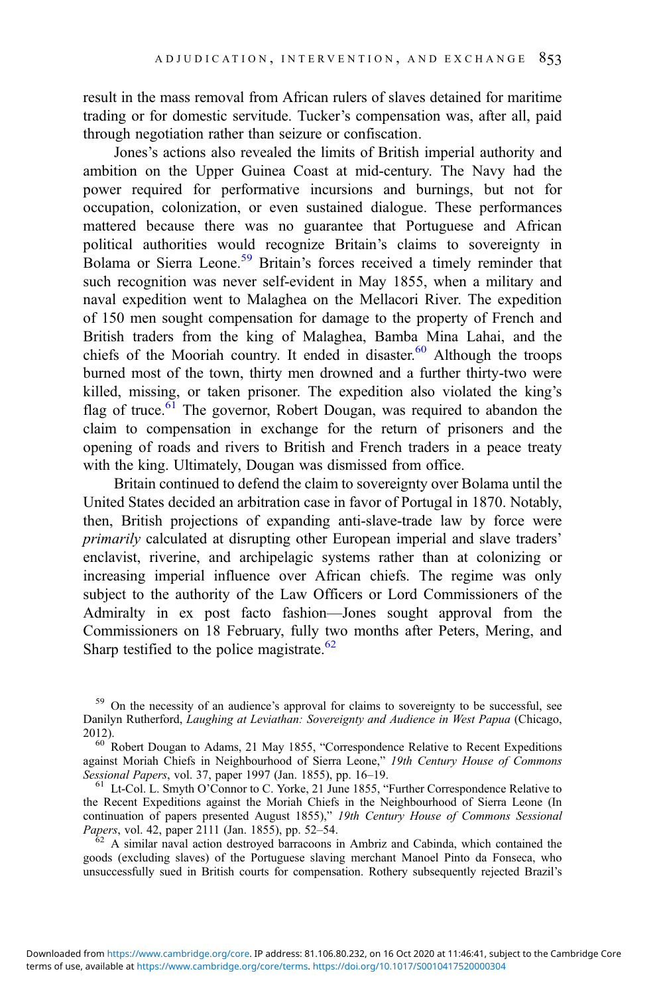result in the mass removal from African rulers of slaves detained for maritime trading or for domestic servitude. Tucker's compensation was, after all, paid through negotiation rather than seizure or confiscation.

Jones's actions also revealed the limits of British imperial authority and ambition on the Upper Guinea Coast at mid-century. The Navy had the power required for performative incursions and burnings, but not for occupation, colonization, or even sustained dialogue. These performances mattered because there was no guarantee that Portuguese and African political authorities would recognize Britain's claims to sovereignty in Bolama or Sierra Leone.<sup>59</sup> Britain's forces received a timely reminder that such recognition was never self-evident in May 1855, when a military and naval expedition went to Malaghea on the Mellacori River. The expedition of 150 men sought compensation for damage to the property of French and British traders from the king of Malaghea, Bamba Mina Lahai, and the chiefs of the Mooriah country. It ended in disaster. $60$  Although the troops burned most of the town, thirty men drowned and a further thirty-two were killed, missing, or taken prisoner. The expedition also violated the king's flag of truce.<sup>61</sup> The governor, Robert Dougan, was required to abandon the claim to compensation in exchange for the return of prisoners and the opening of roads and rivers to British and French traders in a peace treaty with the king. Ultimately, Dougan was dismissed from office.

Britain continued to defend the claim to sovereignty over Bolama until the United States decided an arbitration case in favor of Portugal in 1870. Notably, then, British projections of expanding anti-slave-trade law by force were primarily calculated at disrupting other European imperial and slave traders' enclavist, riverine, and archipelagic systems rather than at colonizing or increasing imperial influence over African chiefs. The regime was only subject to the authority of the Law Officers or Lord Commissioners of the Admiralty in ex post facto fashion—Jones sought approval from the Commissioners on 18 February, fully two months after Peters, Mering, and Sharp testified to the police magistrate. $62$ 

 $<sup>61</sup>$  Lt-Col. L. Smyth O'Connor to C. Yorke, 21 June 1855, "Further Correspondence Relative to</sup> the Recent Expeditions against the Moriah Chiefs in the Neighbourhood of Sierra Leone (In continuation of papers presented August 1855)," 19th Century House of Commons Sessional Papers, vol. 42, paper 2111 (Jan. 1855), pp. 52–54.

A similar naval action destroyed barracoons in Ambriz and Cabinda, which contained the goods (excluding slaves) of the Portuguese slaving merchant Manoel Pinto da Fonseca, who unsuccessfully sued in British courts for compensation. Rothery subsequently rejected Brazil's

<sup>&</sup>lt;sup>59</sup> On the necessity of an audience's approval for claims to sovereignty to be successful, see Danilyn Rutherford, Laughing at Leviathan: Sovereignty and Audience in West Papua (Chicago, 2012).

 $60$ <sup>O</sup> Robert Dougan to Adams, 21 May 1855, "Correspondence Relative to Recent Expeditions against Moriah Chiefs in Neighbourhood of Sierra Leone," 19th Century House of Commons Sessional Papers, vol. 37, paper 1997 (Jan. 1855), pp. 16–19.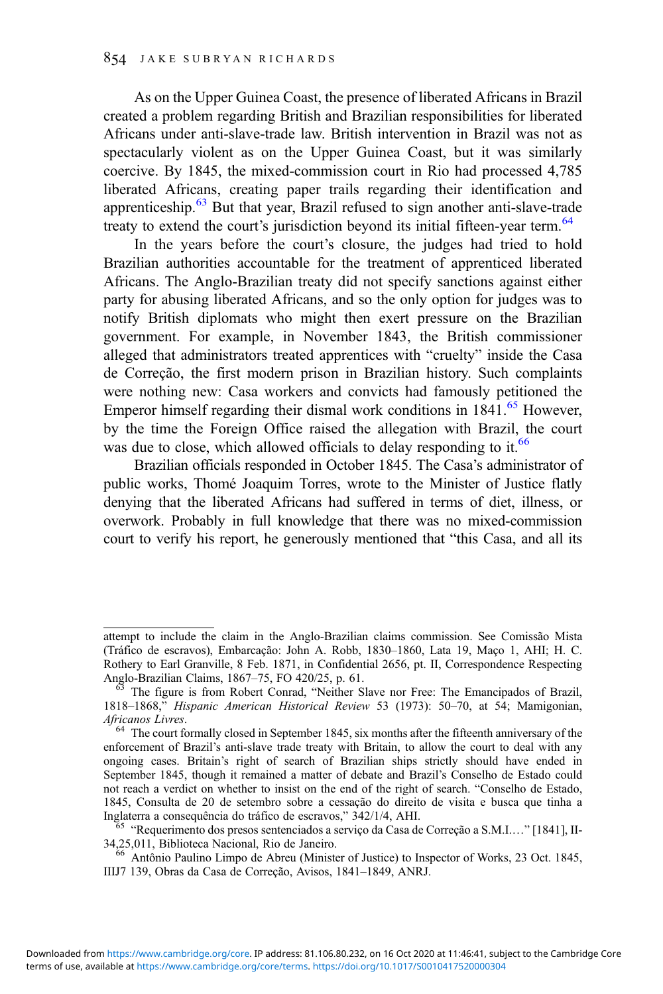As on the Upper Guinea Coast, the presence of liberated Africans in Brazil created a problem regarding British and Brazilian responsibilities for liberated Africans under anti-slave-trade law. British intervention in Brazil was not as spectacularly violent as on the Upper Guinea Coast, but it was similarly coercive. By 1845, the mixed-commission court in Rio had processed 4,785 liberated Africans, creating paper trails regarding their identification and apprenticeship. $^{63}$  But that year, Brazil refused to sign another anti-slave-trade treaty to extend the court's jurisdiction beyond its initial fifteen-year term.<sup>64</sup>

In the years before the court's closure, the judges had tried to hold Brazilian authorities accountable for the treatment of apprenticed liberated Africans. The Anglo-Brazilian treaty did not specify sanctions against either party for abusing liberated Africans, and so the only option for judges was to notify British diplomats who might then exert pressure on the Brazilian government. For example, in November 1843, the British commissioner alleged that administrators treated apprentices with "cruelty" inside the Casa de Correção, the first modern prison in Brazilian history. Such complaints were nothing new: Casa workers and convicts had famously petitioned the Emperor himself regarding their dismal work conditions in  $1841.65$  However, by the time the Foreign Office raised the allegation with Brazil, the court was due to close, which allowed officials to delay responding to it.<sup>66</sup>

Brazilian officials responded in October 1845. The Casa's administrator of public works, Thomé Joaquim Torres, wrote to the Minister of Justice flatly denying that the liberated Africans had suffered in terms of diet, illness, or overwork. Probably in full knowledge that there was no mixed-commission court to verify his report, he generously mentioned that "this Casa, and all its

attempt to include the claim in the Anglo-Brazilian claims commission. See Comissão Mista (Tráfico de escravos), Embarcação: John A. Robb, 1830–1860, Lata 19, Maço 1, AHI; H. C. Rothery to Earl Granville, 8 Feb. 1871, in Confidential 2656, pt. II, Correspondence Respecting Anglo-Brazilian Claims, 1867–75, FO 420/25, p. 61.<br><sup>63</sup> The figure is from Robert Conrad, "Neither Slave nor Free: The Emancipados of Brazil,

<sup>1818</sup>–1868," Hispanic American Historical Review 53 (1973): 50–70, at 54; Mamigonian,

<sup>&</sup>lt;sup>64</sup> The court formally closed in September 1845, six months after the fifteenth anniversary of the enforcement of Brazil's anti-slave trade treaty with Britain, to allow the court to deal with any ongoing cases. Britain's right of search of Brazilian ships strictly should have ended in September 1845, though it remained a matter of debate and Brazil's Conselho de Estado could not reach a verdict on whether to insist on the end of the right of search. "Conselho de Estado, 1845, Consulta de 20 de setembro sobre a cessação do direito de visita e busca que tinha a

<sup>&</sup>lt;sup>65</sup> "Requerimento dos presos sentenciados a serviço da Casa de Correção a S.M.I.…" [1841], II-34,25,011, Biblioteca Nacional, Rio de Janeiro.<br><sup>66</sup> Antônio Paulino Limpo de Abreu (Minister of Justice) to Inspector of Works, 23 Oct. 1845,

IIIJ7 139, Obras da Casa de Correção, Avisos, 1841–1849, ANRJ.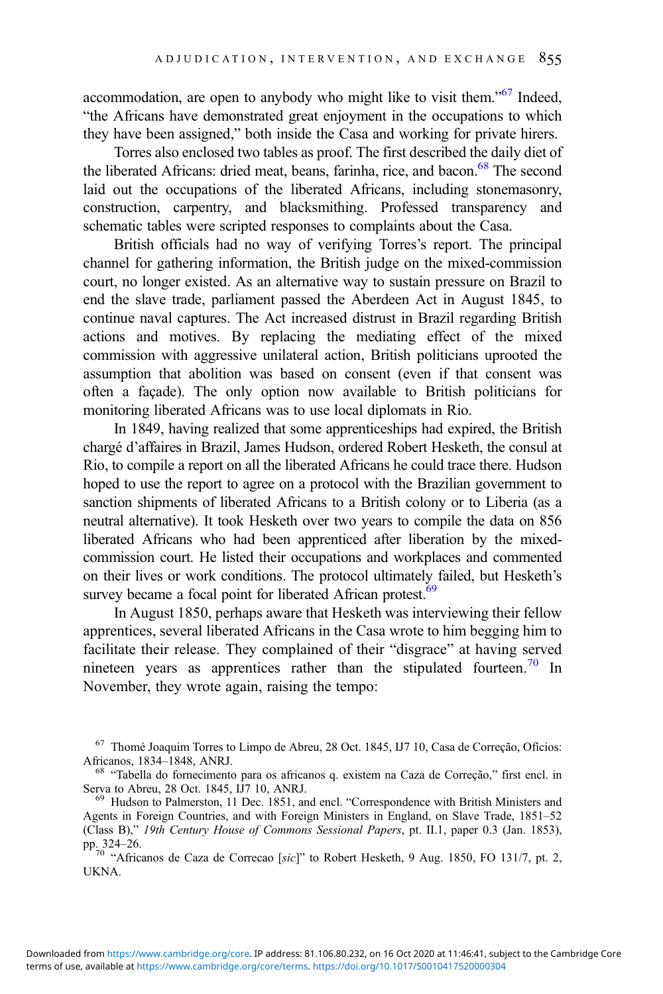accommodation, are open to anybody who might like to visit them."<sup>67</sup> Indeed, "the Africans have demonstrated great enjoyment in the occupations to which they have been assigned," both inside the Casa and working for private hirers.

Torres also enclosed two tables as proof. The first described the daily diet of the liberated Africans: dried meat, beans, farinha, rice, and bacon.<sup>68</sup> The second laid out the occupations of the liberated Africans, including stonemasonry, construction, carpentry, and blacksmithing. Professed transparency and schematic tables were scripted responses to complaints about the Casa.

British officials had no way of verifying Torres's report. The principal channel for gathering information, the British judge on the mixed-commission court, no longer existed. As an alternative way to sustain pressure on Brazil to end the slave trade, parliament passed the Aberdeen Act in August 1845, to continue naval captures. The Act increased distrust in Brazil regarding British actions and motives. By replacing the mediating effect of the mixed commission with aggressive unilateral action, British politicians uprooted the assumption that abolition was based on consent (even if that consent was often a façade). The only option now available to British politicians for monitoring liberated Africans was to use local diplomats in Rio.

In 1849, having realized that some apprenticeships had expired, the British chargé d'affaires in Brazil, James Hudson, ordered Robert Hesketh, the consul at Rio, to compile a report on all the liberated Africans he could trace there. Hudson hoped to use the report to agree on a protocol with the Brazilian government to sanction shipments of liberated Africans to a British colony or to Liberia (as a neutral alternative). It took Hesketh over two years to compile the data on 856 liberated Africans who had been apprenticed after liberation by the mixedcommission court. He listed their occupations and workplaces and commented on their lives or work conditions. The protocol ultimately failed, but Hesketh's survey became a focal point for liberated African protest.<sup>69</sup>

In August 1850, perhaps aware that Hesketh was interviewing their fellow apprentices, several liberated Africans in the Casa wrote to him begging him to facilitate their release. They complained of their "disgrace" at having served nineteen years as apprentices rather than the stipulated fourteen.<sup>70</sup> In November, they wrote again, raising the tempo:

 $67$  Thomé Joaquim Torres to Limpo de Abreu, 28 Oct. 1845, IJ7 10, Casa de Correção, Ofícios: Africanos, 1834–1848, ANRJ.

UKNA.

<sup>&</sup>lt;sup>68</sup> "Tabella do fornecimento para os africanos q. existem na Caza de Correção," first encl. in Serva to Abreu, 28 Oct. 1845, IJ7 10, ANRJ.

<sup>&</sup>lt;sup>69</sup> Hudson to Palmerston, 11 Dec. 1851, and encl. "Correspondence with British Ministers and Agents in Foreign Countries, and with Foreign Ministers in England, on Slave Trade, 1851–52 (Class B)," 19th Century House of Commons Sessional Papers, pt. II.1, paper 0.3 (Jan. 1853), pp. 324–26.<br><sup>70</sup> "Africanos de Caza de Correcao [sic]" to Robert Hesketh, 9 Aug. 1850, FO 131/7, pt. 2,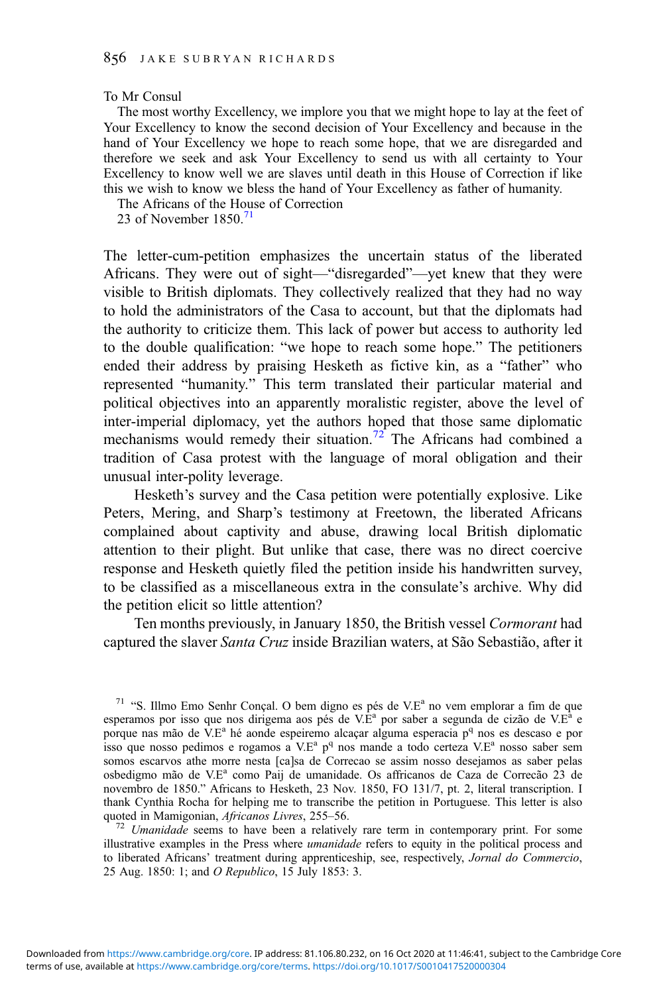#### To Mr Consul

The most worthy Excellency, we implore you that we might hope to lay at the feet of Your Excellency to know the second decision of Your Excellency and because in the hand of Your Excellency we hope to reach some hope, that we are disregarded and therefore we seek and ask Your Excellency to send us with all certainty to Your Excellency to know well we are slaves until death in this House of Correction if like this we wish to know we bless the hand of Your Excellency as father of humanity.

The Africans of the House of Correction

23 of November  $1850.<sup>71</sup>$ 

The letter-cum-petition emphasizes the uncertain status of the liberated Africans. They were out of sight—"disregarded"—yet knew that they were visible to British diplomats. They collectively realized that they had no way to hold the administrators of the Casa to account, but that the diplomats had the authority to criticize them. This lack of power but access to authority led to the double qualification: "we hope to reach some hope." The petitioners ended their address by praising Hesketh as fictive kin, as a "father" who represented "humanity." This term translated their particular material and political objectives into an apparently moralistic register, above the level of inter-imperial diplomacy, yet the authors hoped that those same diplomatic mechanisms would remedy their situation.<sup>72</sup> The Africans had combined a tradition of Casa protest with the language of moral obligation and their unusual inter-polity leverage.

Hesketh's survey and the Casa petition were potentially explosive. Like Peters, Mering, and Sharp's testimony at Freetown, the liberated Africans complained about captivity and abuse, drawing local British diplomatic attention to their plight. But unlike that case, there was no direct coercive response and Hesketh quietly filed the petition inside his handwritten survey, to be classified as a miscellaneous extra in the consulate's archive. Why did the petition elicit so little attention?

Ten months previously, in January 1850, the British vessel Cormorant had captured the slaver Santa Cruz inside Brazilian waters, at São Sebastião, after it

 $71$  "S. Illmo Emo Senhr Conçal. O bem digno es pés de V.E<sup>a</sup> no vem emplorar a fim de que esperamos por isso que nos dirigema aos pés de V. $E^a$  por saber a segunda de cizão de V. $E^{\tilde{a}}$  e porque nas mão de  $V.E^a$  hé aonde espeiremo alcaçar alguma esperacia p<sup>q</sup> nos es descaso e por isso que nosso pedimos e rogamos a  $VE^a$  p<sup>q</sup> nos mande a todo certeza  $VE^a$  nosso saber sem somos escarvos athe morre nesta [ca]sa de Correcao se assim nosso desejamos as saber pelas osbedigmo mão de V.Ea como Paij de umanidade. Os affricanos de Caza de Correcão 23 de novembro de 1850." Africans to Hesketh, 23 Nov. 1850, FO 131/7, pt. 2, literal transcription. I thank Cynthia Rocha for helping me to transcribe the petition in Portuguese. This letter is also quoted in Mamigonian, *Africanos Livres*, 255–56.

 $72$  Umanidade seems to have been a relatively rare term in contemporary print. For some illustrative examples in the Press where umanidade refers to equity in the political process and to liberated Africans' treatment during apprenticeship, see, respectively, Jornal do Commercio, 25 Aug. 1850: 1; and O Republico, 15 July 1853: 3.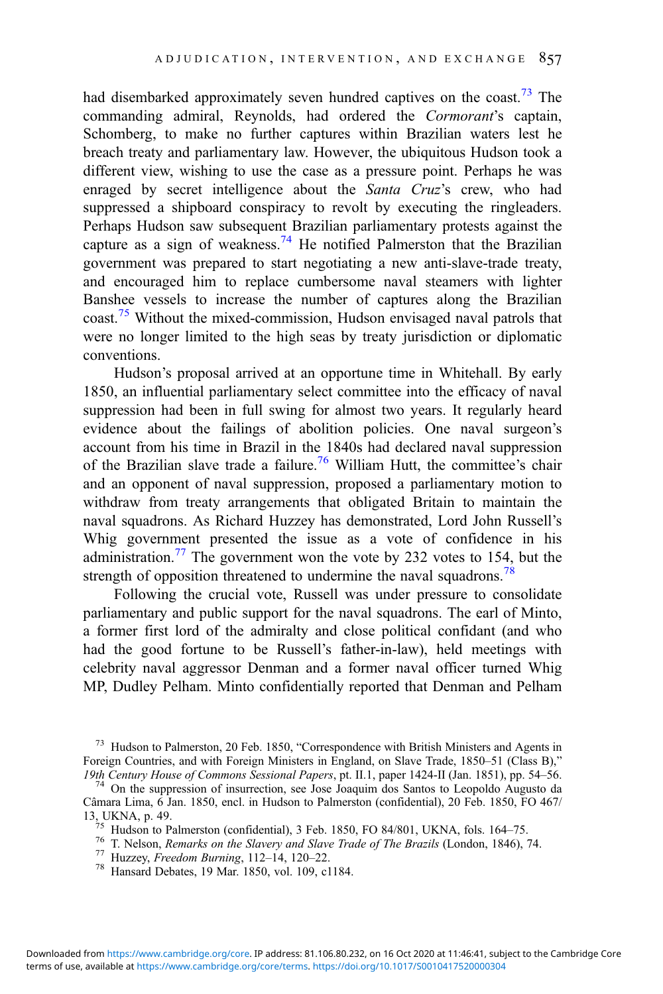had disembarked approximately seven hundred captives on the coast.<sup>73</sup> The commanding admiral, Reynolds, had ordered the *Cormorant's* captain, Schomberg, to make no further captures within Brazilian waters lest he breach treaty and parliamentary law. However, the ubiquitous Hudson took a different view, wishing to use the case as a pressure point. Perhaps he was enraged by secret intelligence about the Santa Cruz's crew, who had suppressed a shipboard conspiracy to revolt by executing the ringleaders. Perhaps Hudson saw subsequent Brazilian parliamentary protests against the capture as a sign of weakness.<sup>74</sup> He notified Palmerston that the Brazilian government was prepared to start negotiating a new anti-slave-trade treaty, and encouraged him to replace cumbersome naval steamers with lighter Banshee vessels to increase the number of captures along the Brazilian coast.<sup>75</sup> Without the mixed-commission, Hudson envisaged naval patrols that were no longer limited to the high seas by treaty jurisdiction or diplomatic conventions.

Hudson's proposal arrived at an opportune time in Whitehall. By early 1850, an influential parliamentary select committee into the efficacy of naval suppression had been in full swing for almost two years. It regularly heard evidence about the failings of abolition policies. One naval surgeon's account from his time in Brazil in the 1840s had declared naval suppression of the Brazilian slave trade a failure.<sup>76</sup> William Hutt, the committee's chair and an opponent of naval suppression, proposed a parliamentary motion to withdraw from treaty arrangements that obligated Britain to maintain the naval squadrons. As Richard Huzzey has demonstrated, Lord John Russell's Whig government presented the issue as a vote of confidence in his administration.<sup>77</sup> The government won the vote by 232 votes to 154, but the strength of opposition threatened to undermine the naval squadrons.<sup>78</sup>

Following the crucial vote, Russell was under pressure to consolidate parliamentary and public support for the naval squadrons. The earl of Minto, a former first lord of the admiralty and close political confidant (and who had the good fortune to be Russell's father-in-law), held meetings with celebrity naval aggressor Denman and a former naval officer turned Whig MP, Dudley Pelham. Minto confidentially reported that Denman and Pelham

<sup>73</sup> Hudson to Palmerston, 20 Feb. 1850, "Correspondence with British Ministers and Agents in Foreign Countries, and with Foreign Ministers in England, on Slave Trade, 1850–51 (Class B),"<br>19th Century House of Commons Sessional Papers, pt. II.1, paper 1424-II (Jan. 1851), pp. 54–56.

 $74$  On the suppression of insurrection, see Jose Joaquim dos Santos to Leopoldo Augusto da Câmara Lima, 6 Jan. 1850, encl. in Hudson to Palmerston (confidential), 20 Feb. 1850, FO 467/

<sup>&</sup>lt;sup>75</sup> Hudson to Palmerston (confidential), 3 Feb. 1850, FO 84/801, UKNA, fols. 164–75.<br><sup>76</sup> T. Nelson, *Remarks on the Slavery and Slave Trade of The Brazils* (London, 1846), 74.<br><sup>77</sup> Huzzey, *Freedom Burning*, 112–14, 120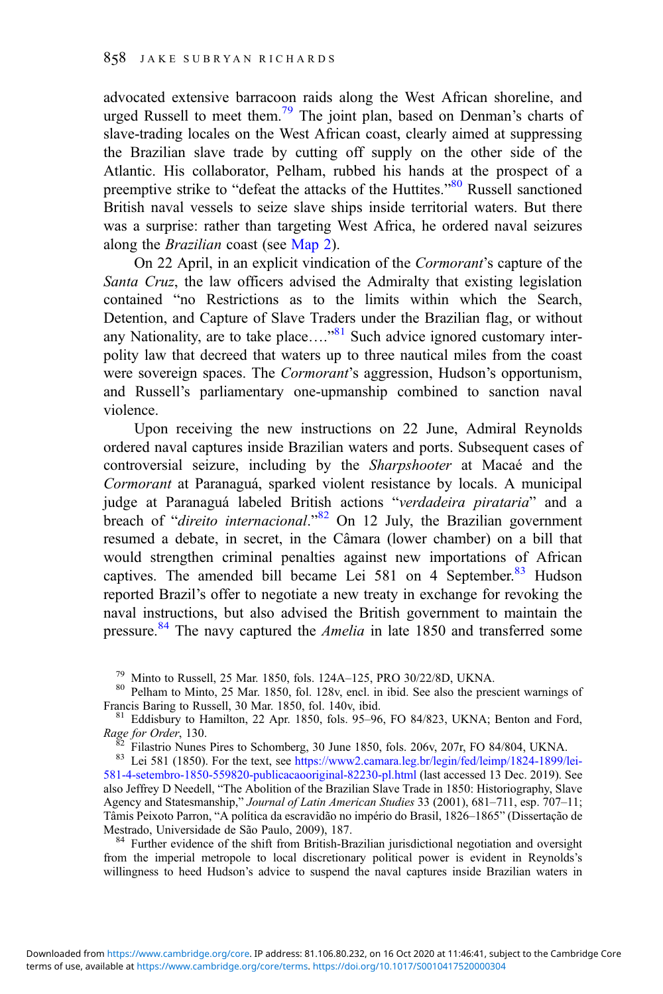advocated extensive barracoon raids along the West African shoreline, and urged Russell to meet them.<sup>79</sup> The joint plan, based on Denman's charts of slave-trading locales on the West African coast, clearly aimed at suppressing the Brazilian slave trade by cutting off supply on the other side of the Atlantic. His collaborator, Pelham, rubbed his hands at the prospect of a preemptive strike to "defeat the attacks of the Huttites."<sup>80</sup> Russell sanctioned British naval vessels to seize slave ships inside territorial waters. But there was a surprise: rather than targeting West Africa, he ordered naval seizures along the Brazilian coast (see [Map 2\)](#page-23-0).

On 22 April, in an explicit vindication of the Cormorant's capture of the Santa Cruz, the law officers advised the Admiralty that existing legislation contained "no Restrictions as to the limits within which the Search, Detention, and Capture of Slave Traders under the Brazilian flag, or without any Nationality, are to take place...."<sup>81</sup> Such advice ignored customary interpolity law that decreed that waters up to three nautical miles from the coast were sovereign spaces. The *Cormorant's* aggression, Hudson's opportunism, and Russell's parliamentary one-upmanship combined to sanction naval violence.

Upon receiving the new instructions on 22 June, Admiral Reynolds ordered naval captures inside Brazilian waters and ports. Subsequent cases of controversial seizure, including by the Sharpshooter at Macaé and the Cormorant at Paranaguá, sparked violent resistance by locals. A municipal judge at Paranaguá labeled British actions "verdadeira pirataria" and a breach of "direito internacional."<sup>82</sup> On 12 July, the Brazilian government resumed a debate, in secret, in the Câmara (lower chamber) on a bill that would strengthen criminal penalties against new importations of African captives. The amended bill became Lei 581 on 4 September.<sup>83</sup> Hudson reported Brazil's offer to negotiate a new treaty in exchange for revoking the naval instructions, but also advised the British government to maintain the pressure.<sup>84</sup> The navy captured the Amelia in late 1850 and transferred some

<sup>79</sup> Minto to Russell, 25 Mar. 1850, fols. 124A–125, PRO 30/22/8D, UKNA.  $80$  Pelham to Minto, 25 Mar. 1850, fol. 128v, encl. in ibid. See also the prescient warnings of

<sup>82</sup> Filastrio Nunes Pires to Schomberg, 30 June 1850, fols. 206v, 207r, FO 84/804, UKNA. <sup>83</sup> Lei 581 (1850). For the text, see [https://www2.camara.leg.br/legin/fed/leimp/1824-1899/lei-](https://www2.camara.leg.br/legin/fed/leimp/1824-1899/lei-581-4-setembro-1850-559820-publicacaooriginal-82230-pl.html)[581-4-setembro-1850-559820-publicacaooriginal-82230-pl.html](https://www2.camara.leg.br/legin/fed/leimp/1824-1899/lei-581-4-setembro-1850-559820-publicacaooriginal-82230-pl.html) (last accessed 13 Dec. 2019). See also Jeffrey D Needell, "The Abolition of the Brazilian Slave Trade in 1850: Historiography, Slave Agency and Statesmanship," Journal of Latin American Studies 33 (2001), 681–711, esp. 707–11; Tâmis Peixoto Parron, "A política da escravidão no império do Brasil, 1826–1865" (Dissertação de

 $^{84}$  Further evidence of the shift from British-Brazilian jurisdictional negotiation and oversight from the imperial metropole to local discretionary political power is evident in Reynolds's willingness to heed Hudson's advice to suspend the naval captures inside Brazilian waters in

Francis Baring to Russell, 30 Mar. 1850, fol. 140v, ibid. <sup>81</sup> Eddisbury to Hamilton, 22 Apr. 1850, fols. 95–96, FO 84/823, UKNA; Benton and Ford, *Rage for Order*, 130.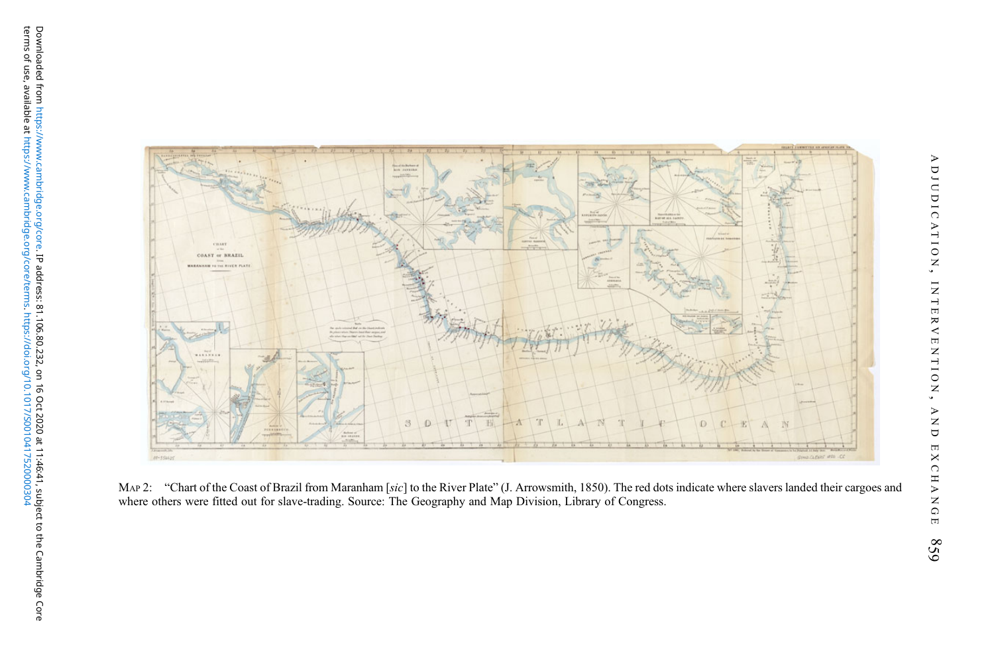<span id="page-23-0"></span>

MAP 2: "Chart of the Coast of Brazil from Maranham [sic] to the River Plate" (J. Arrowsmith, 1850). The red dots indicate where slavers landed their cargoes and where others were fitted out for slave-trading. Source: The Geography and Map Division, Library of Congress.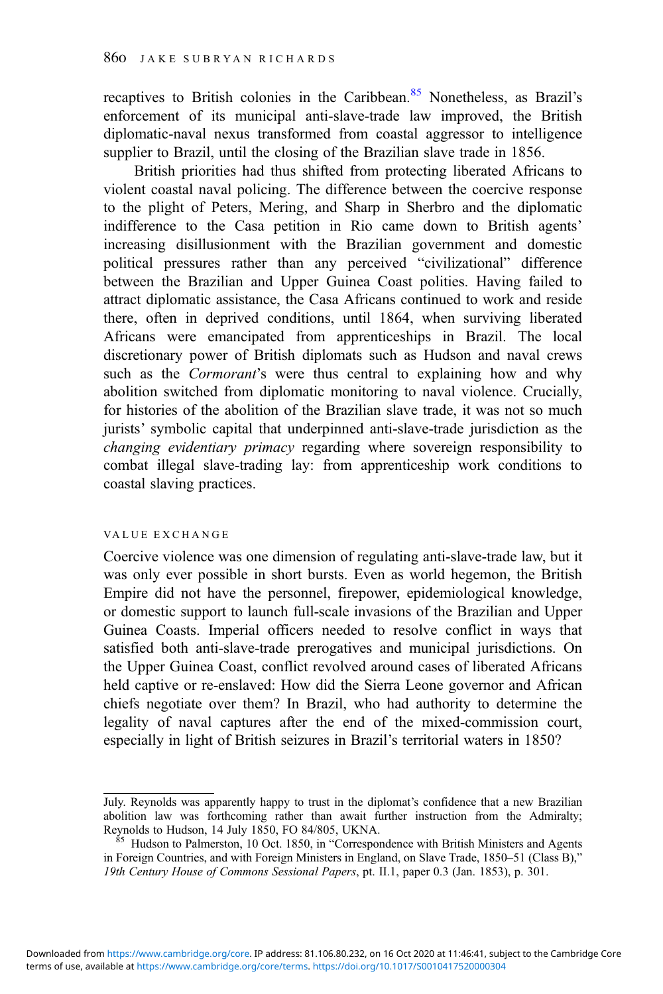recaptives to British colonies in the Caribbean.<sup>85</sup> Nonetheless, as Brazil's enforcement of its municipal anti-slave-trade law improved, the British diplomatic-naval nexus transformed from coastal aggressor to intelligence supplier to Brazil, until the closing of the Brazilian slave trade in 1856.

British priorities had thus shifted from protecting liberated Africans to violent coastal naval policing. The difference between the coercive response to the plight of Peters, Mering, and Sharp in Sherbro and the diplomatic indifference to the Casa petition in Rio came down to British agents' increasing disillusionment with the Brazilian government and domestic political pressures rather than any perceived "civilizational" difference between the Brazilian and Upper Guinea Coast polities. Having failed to attract diplomatic assistance, the Casa Africans continued to work and reside there, often in deprived conditions, until 1864, when surviving liberated Africans were emancipated from apprenticeships in Brazil. The local discretionary power of British diplomats such as Hudson and naval crews such as the *Cormorant's* were thus central to explaining how and why abolition switched from diplomatic monitoring to naval violence. Crucially, for histories of the abolition of the Brazilian slave trade, it was not so much jurists' symbolic capital that underpinned anti-slave-trade jurisdiction as the changing evidentiary primacy regarding where sovereign responsibility to combat illegal slave-trading lay: from apprenticeship work conditions to coastal slaving practices.

## VALUE EXCHANGE

Coercive violence was one dimension of regulating anti-slave-trade law, but it was only ever possible in short bursts. Even as world hegemon, the British Empire did not have the personnel, firepower, epidemiological knowledge, or domestic support to launch full-scale invasions of the Brazilian and Upper Guinea Coasts. Imperial officers needed to resolve conflict in ways that satisfied both anti-slave-trade prerogatives and municipal jurisdictions. On the Upper Guinea Coast, conflict revolved around cases of liberated Africans held captive or re-enslaved: How did the Sierra Leone governor and African chiefs negotiate over them? In Brazil, who had authority to determine the legality of naval captures after the end of the mixed-commission court, especially in light of British seizures in Brazil's territorial waters in 1850?

July. Reynolds was apparently happy to trust in the diplomat's confidence that a new Brazilian abolition law was forthcoming rather than await further instruction from the Admiralty; Reynolds to Hudson, 14 July 1850, FO 84/805, UKNA.

 $85$  Hudson to Palmerston, 10 Oct. 1850, in "Correspondence with British Ministers and Agents in Foreign Countries, and with Foreign Ministers in England, on Slave Trade, 1850–51 (Class B)," 19th Century House of Commons Sessional Papers, pt. II.1, paper 0.3 (Jan. 1853), p. 301.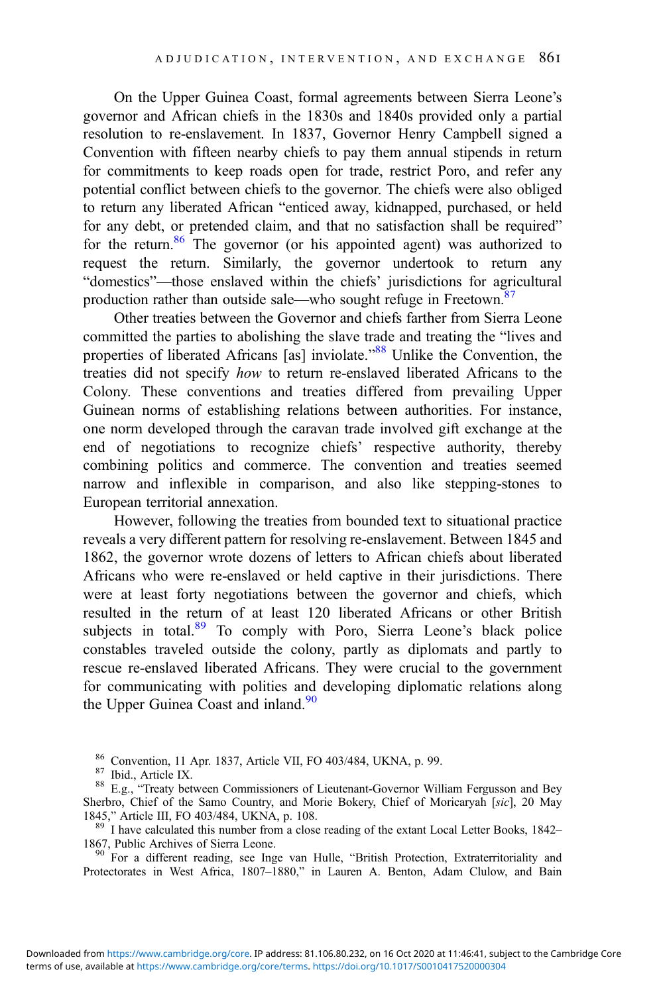On the Upper Guinea Coast, formal agreements between Sierra Leone's governor and African chiefs in the 1830s and 1840s provided only a partial resolution to re-enslavement. In 1837, Governor Henry Campbell signed a Convention with fifteen nearby chiefs to pay them annual stipends in return for commitments to keep roads open for trade, restrict Poro, and refer any potential conflict between chiefs to the governor. The chiefs were also obliged to return any liberated African "enticed away, kidnapped, purchased, or held for any debt, or pretended claim, and that no satisfaction shall be required" for the return.<sup>86</sup> The governor (or his appointed agent) was authorized to request the return. Similarly, the governor undertook to return any "domestics"—those enslaved within the chiefs' jurisdictions for agricultural production rather than outside sale—who sought refuge in Freetown.<sup>87</sup>

Other treaties between the Governor and chiefs farther from Sierra Leone committed the parties to abolishing the slave trade and treating the "lives and properties of liberated Africans [as] inviolate."<sup>88</sup> Unlike the Convention, the treaties did not specify how to return re-enslaved liberated Africans to the Colony. These conventions and treaties differed from prevailing Upper Guinean norms of establishing relations between authorities. For instance, one norm developed through the caravan trade involved gift exchange at the end of negotiations to recognize chiefs' respective authority, thereby combining politics and commerce. The convention and treaties seemed narrow and inflexible in comparison, and also like stepping-stones to European territorial annexation.

However, following the treaties from bounded text to situational practice reveals a very different pattern for resolving re-enslavement. Between 1845 and 1862, the governor wrote dozens of letters to African chiefs about liberated Africans who were re-enslaved or held captive in their jurisdictions. There were at least forty negotiations between the governor and chiefs, which resulted in the return of at least 120 liberated Africans or other British subjects in total.<sup>89</sup> To comply with Poro, Sierra Leone's black police constables traveled outside the colony, partly as diplomats and partly to rescue re-enslaved liberated Africans. They were crucial to the government for communicating with polities and developing diplomatic relations along the Upper Guinea Coast and inland.<sup>90</sup>

86 Convention, 11 Apr. 1837, Article VII, FO 403/484, UKNA, p. 99.<br>87 Ibid., Article IX.<br>88 E.g., "Treaty between Commissioners of Lieutenant-Governor William Fergusson and Bey Sherbro, Chief of the Samo Country, and Morie Bokery, Chief of Moricaryah [sic], 20 May 1845," Article III, FO 403/484, UKNA, p. 108.

 $189\degree$  I have calculated this number from a close reading of the extant Local Letter Books, 1842–1867, Public Archives of Sierra Leone.

 $90$  For a different reading, see Inge van Hulle, "British Protection, Extraterritoriality and Protectorates in West Africa, 1807–1880," in Lauren A. Benton, Adam Clulow, and Bain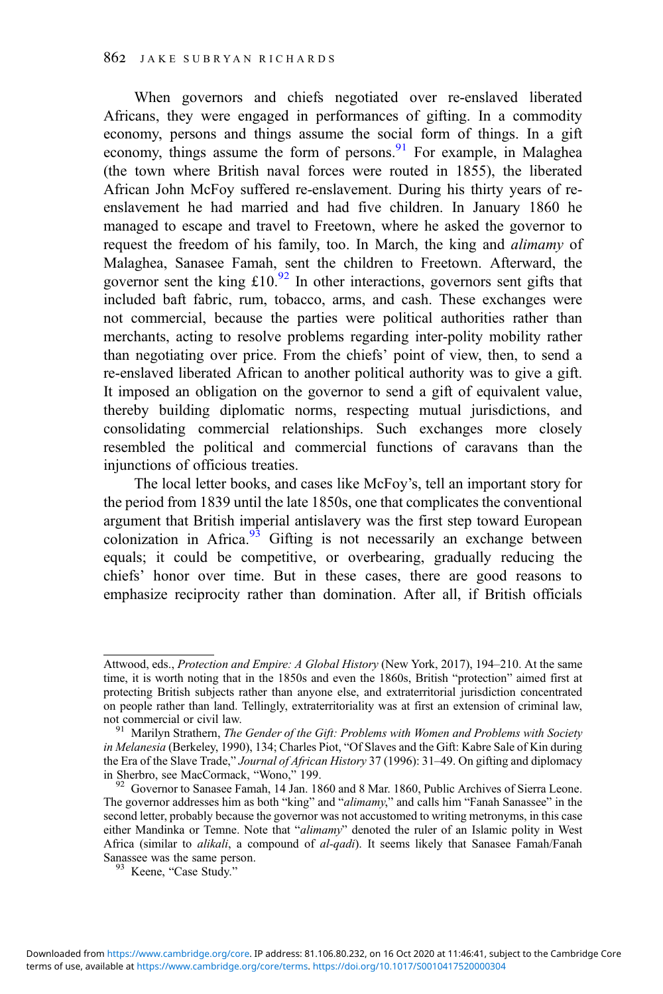When governors and chiefs negotiated over re-enslaved liberated Africans, they were engaged in performances of gifting. In a commodity economy, persons and things assume the social form of things. In a gift economy, things assume the form of persons.<sup>91</sup> For example, in Malaghea (the town where British naval forces were routed in 1855), the liberated African John McFoy suffered re-enslavement. During his thirty years of reenslavement he had married and had five children. In January 1860 he managed to escape and travel to Freetown, where he asked the governor to request the freedom of his family, too. In March, the king and alimamy of Malaghea, Sanasee Famah, sent the children to Freetown. Afterward, the governor sent the king  $\pounds10^{92}$  In other interactions, governors sent gifts that included baft fabric, rum, tobacco, arms, and cash. These exchanges were not commercial, because the parties were political authorities rather than merchants, acting to resolve problems regarding inter-polity mobility rather than negotiating over price. From the chiefs' point of view, then, to send a re-enslaved liberated African to another political authority was to give a gift. It imposed an obligation on the governor to send a gift of equivalent value, thereby building diplomatic norms, respecting mutual jurisdictions, and consolidating commercial relationships. Such exchanges more closely resembled the political and commercial functions of caravans than the injunctions of officious treaties.

The local letter books, and cases like McFoy's, tell an important story for the period from 1839 until the late 1850s, one that complicates the conventional argument that British imperial antislavery was the first step toward European colonization in Africa. $93 \overline{3}$  Gifting is not necessarily an exchange between equals; it could be competitive, or overbearing, gradually reducing the chiefs' honor over time. But in these cases, there are good reasons to emphasize reciprocity rather than domination. After all, if British officials

Attwood, eds., Protection and Empire: A Global History (New York, 2017), 194–210. At the same time, it is worth noting that in the 1850s and even the 1860s, British "protection" aimed first at protecting British subjects rather than anyone else, and extraterritorial jurisdiction concentrated on people rather than land. Tellingly, extraterritoriality was at first an extension of criminal law, not commercial or civil law.<br><sup>91</sup> Marilyn Strathern, *The Gender of the Gift: Problems with Women and Problems with Society* 

in Melanesia (Berkeley, 1990), 134; Charles Piot, "Of Slaves and the Gift: Kabre Sale of Kin during the Era of the Slave Trade," Journal of African History 37 (1996): 31–49. On gifting and diplomacy in Sherbro, see MacCormack, "Wono," 199.

<sup>&</sup>lt;sup>92</sup> Governor to Sanasee Famah, 14 Jan. 1860 and 8 Mar. 1860, Public Archives of Sierra Leone. The governor addresses him as both "king" and "alimamy," and calls him "Fanah Sanassee" in the second letter, probably because the governor was not accustomed to writing metronyms, in this case either Mandinka or Temne. Note that "alimamy" denoted the ruler of an Islamic polity in West Africa (similar to *alikali*, a compound of *al-qadi*). It seems likely that Sanasee Famah/Fanah Sanassee was the same person.<br><sup>93</sup> Keene, "Case Study."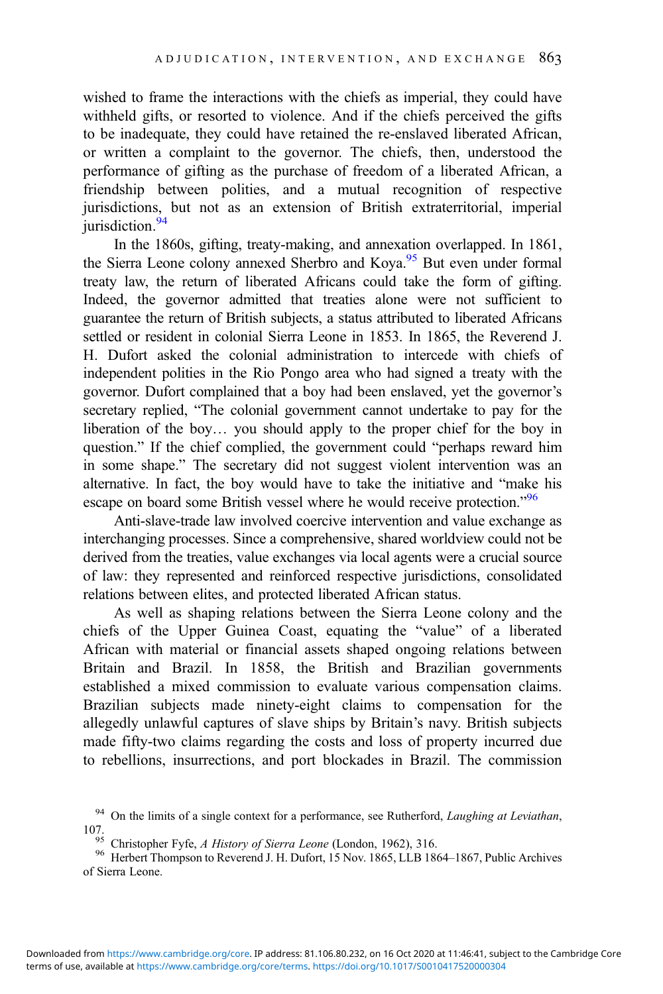wished to frame the interactions with the chiefs as imperial, they could have withheld gifts, or resorted to violence. And if the chiefs perceived the gifts to be inadequate, they could have retained the re-enslaved liberated African, or written a complaint to the governor. The chiefs, then, understood the performance of gifting as the purchase of freedom of a liberated African, a friendship between polities, and a mutual recognition of respective jurisdictions, but not as an extension of British extraterritorial, imperial jurisdiction.<sup>94</sup>

In the 1860s, gifting, treaty-making, and annexation overlapped. In 1861, the Sierra Leone colony annexed Sherbro and Koya.<sup>95</sup> But even under formal treaty law, the return of liberated Africans could take the form of gifting. Indeed, the governor admitted that treaties alone were not sufficient to guarantee the return of British subjects, a status attributed to liberated Africans settled or resident in colonial Sierra Leone in 1853. In 1865, the Reverend J. H. Dufort asked the colonial administration to intercede with chiefs of independent polities in the Rio Pongo area who had signed a treaty with the governor. Dufort complained that a boy had been enslaved, yet the governor's secretary replied, "The colonial government cannot undertake to pay for the liberation of the boy… you should apply to the proper chief for the boy in question." If the chief complied, the government could "perhaps reward him in some shape." The secretary did not suggest violent intervention was an alternative. In fact, the boy would have to take the initiative and "make his escape on board some British vessel where he would receive protection."<sup>96</sup>

Anti-slave-trade law involved coercive intervention and value exchange as interchanging processes. Since a comprehensive, shared worldview could not be derived from the treaties, value exchanges via local agents were a crucial source of law: they represented and reinforced respective jurisdictions, consolidated relations between elites, and protected liberated African status.

As well as shaping relations between the Sierra Leone colony and the chiefs of the Upper Guinea Coast, equating the "value" of a liberated African with material or financial assets shaped ongoing relations between Britain and Brazil. In 1858, the British and Brazilian governments established a mixed commission to evaluate various compensation claims. Brazilian subjects made ninety-eight claims to compensation for the allegedly unlawful captures of slave ships by Britain's navy. British subjects made fifty-two claims regarding the costs and loss of property incurred due to rebellions, insurrections, and port blockades in Brazil. The commission

 $94$  On the limits of a single context for a performance, see Rutherford, Laughing at Leviathan, 107.<br><sup>95</sup> Christopher Fyfe, *A History of Sierra Leone* (London, 1962), 316.<br><sup>96</sup> Herbert Thompson to Reverend J. H. Dufort, 15 Nov. 1865, LLB 1864–1867, Public Archives

of Sierra Leone.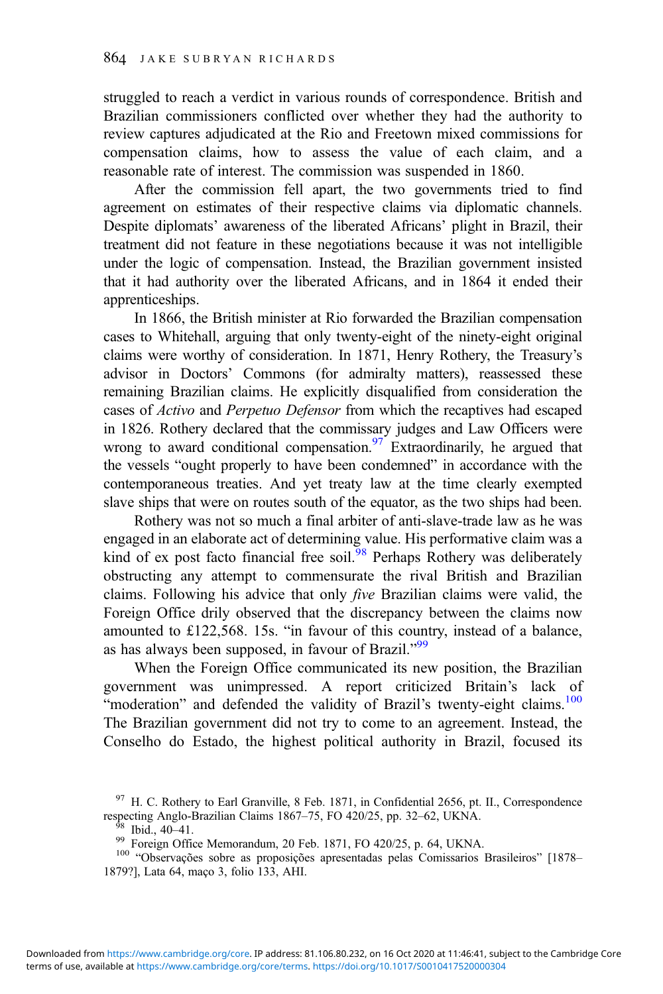struggled to reach a verdict in various rounds of correspondence. British and Brazilian commissioners conflicted over whether they had the authority to review captures adjudicated at the Rio and Freetown mixed commissions for compensation claims, how to assess the value of each claim, and a reasonable rate of interest. The commission was suspended in 1860.

After the commission fell apart, the two governments tried to find agreement on estimates of their respective claims via diplomatic channels. Despite diplomats' awareness of the liberated Africans' plight in Brazil, their treatment did not feature in these negotiations because it was not intelligible under the logic of compensation. Instead, the Brazilian government insisted that it had authority over the liberated Africans, and in 1864 it ended their apprenticeships.

In 1866, the British minister at Rio forwarded the Brazilian compensation cases to Whitehall, arguing that only twenty-eight of the ninety-eight original claims were worthy of consideration. In 1871, Henry Rothery, the Treasury's advisor in Doctors' Commons (for admiralty matters), reassessed these remaining Brazilian claims. He explicitly disqualified from consideration the cases of Activo and Perpetuo Defensor from which the recaptives had escaped in 1826. Rothery declared that the commissary judges and Law Officers were wrong to award conditional compensation.<sup>97</sup> Extraordinarily, he argued that the vessels "ought properly to have been condemned" in accordance with the contemporaneous treaties. And yet treaty law at the time clearly exempted slave ships that were on routes south of the equator, as the two ships had been.

Rothery was not so much a final arbiter of anti-slave-trade law as he was engaged in an elaborate act of determining value. His performative claim was a kind of ex post facto financial free soil.<sup>98</sup> Perhaps Rothery was deliberately obstructing any attempt to commensurate the rival British and Brazilian claims. Following his advice that only five Brazilian claims were valid, the Foreign Office drily observed that the discrepancy between the claims now amounted to £122,568. 15s. "in favour of this country, instead of a balance, as has always been supposed, in favour of Brazil."<sup>99</sup>

When the Foreign Office communicated its new position, the Brazilian government was unimpressed. A report criticized Britain's lack of "moderation" and defended the validity of Brazil's twenty-eight claims.<sup>100</sup> The Brazilian government did not try to come to an agreement. Instead, the Conselho do Estado, the highest political authority in Brazil, focused its

 $97$  H. C. Rothery to Earl Granville, 8 Feb. 1871, in Confidential 2656, pt. II., Correspondence respecting Anglo-Brazilian Claims 1867–75, FO 420/25, pp. 32–62, UKNA.

<sup>&</sup>lt;sup>98</sup> Ibid., 40–41.<br><sup>99</sup> Foreign Office Memorandum, 20 Feb. 1871, FO 420/25, p. 64, UKNA.<br><sup>100</sup> "Observações sobre as proposições apresentadas pelas Comissarios Brasileiros" [1878– 1879?], Lata 64, maço 3, folio 133, AHI.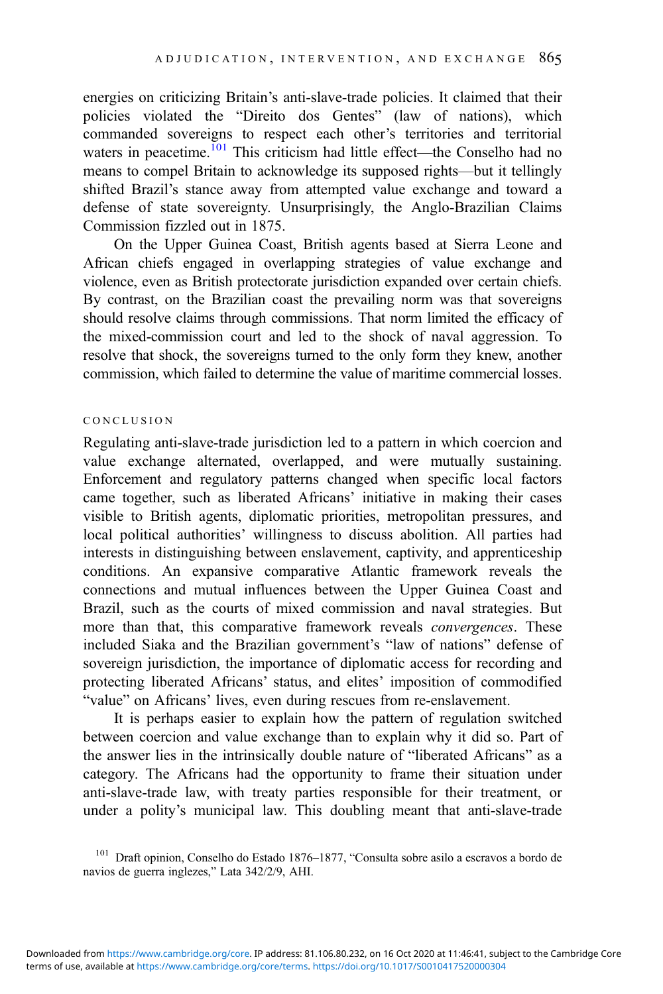energies on criticizing Britain's anti-slave-trade policies. It claimed that their policies violated the "Direito dos Gentes" (law of nations), which commanded sovereigns to respect each other's territories and territorial waters in peacetime.<sup>101</sup> This criticism had little effect—the Conselho had no means to compel Britain to acknowledge its supposed rights—but it tellingly shifted Brazil's stance away from attempted value exchange and toward a defense of state sovereignty. Unsurprisingly, the Anglo-Brazilian Claims Commission fizzled out in 1875.

On the Upper Guinea Coast, British agents based at Sierra Leone and African chiefs engaged in overlapping strategies of value exchange and violence, even as British protectorate jurisdiction expanded over certain chiefs. By contrast, on the Brazilian coast the prevailing norm was that sovereigns should resolve claims through commissions. That norm limited the efficacy of the mixed-commission court and led to the shock of naval aggression. To resolve that shock, the sovereigns turned to the only form they knew, another commission, which failed to determine the value of maritime commercial losses.

### CONCLUSION

Regulating anti-slave-trade jurisdiction led to a pattern in which coercion and value exchange alternated, overlapped, and were mutually sustaining. Enforcement and regulatory patterns changed when specific local factors came together, such as liberated Africans' initiative in making their cases visible to British agents, diplomatic priorities, metropolitan pressures, and local political authorities' willingness to discuss abolition. All parties had interests in distinguishing between enslavement, captivity, and apprenticeship conditions. An expansive comparative Atlantic framework reveals the connections and mutual influences between the Upper Guinea Coast and Brazil, such as the courts of mixed commission and naval strategies. But more than that, this comparative framework reveals convergences. These included Siaka and the Brazilian government's "law of nations" defense of sovereign jurisdiction, the importance of diplomatic access for recording and protecting liberated Africans' status, and elites' imposition of commodified "value" on Africans' lives, even during rescues from re-enslavement.

It is perhaps easier to explain how the pattern of regulation switched between coercion and value exchange than to explain why it did so. Part of the answer lies in the intrinsically double nature of "liberated Africans" as a category. The Africans had the opportunity to frame their situation under anti-slave-trade law, with treaty parties responsible for their treatment, or under a polity's municipal law. This doubling meant that anti-slave-trade

<sup>101</sup> Draft opinion, Conselho do Estado 1876–1877, "Consulta sobre asilo a escravos a bordo de navios de guerra inglezes," Lata 342/2/9, AHI.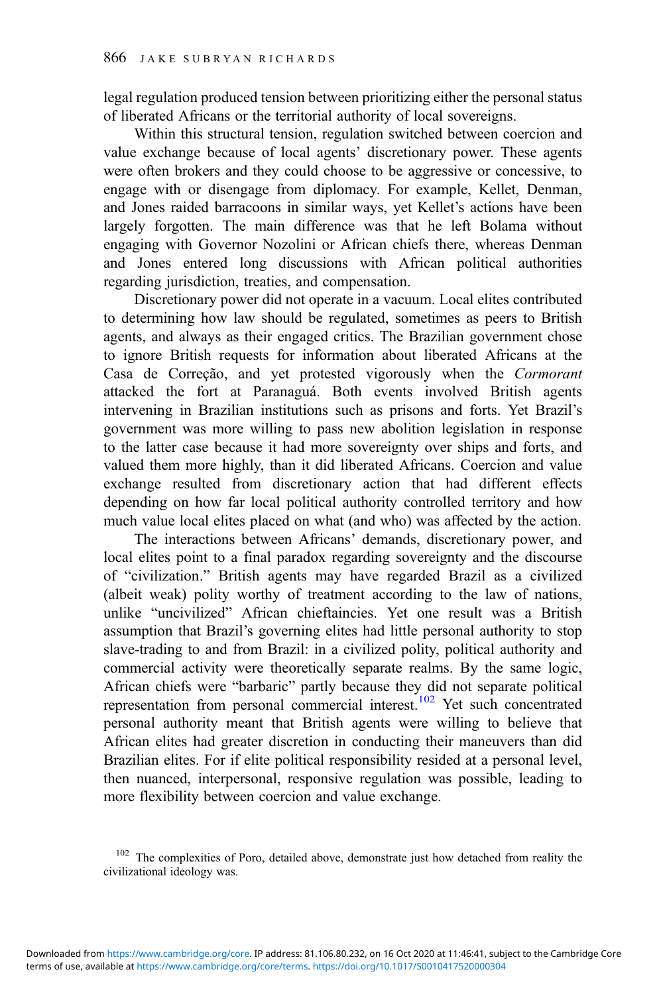legal regulation produced tension between prioritizing either the personal status of liberated Africans or the territorial authority of local sovereigns.

Within this structural tension, regulation switched between coercion and value exchange because of local agents' discretionary power. These agents were often brokers and they could choose to be aggressive or concessive, to engage with or disengage from diplomacy. For example, Kellet, Denman, and Jones raided barracoons in similar ways, yet Kellet's actions have been largely forgotten. The main difference was that he left Bolama without engaging with Governor Nozolini or African chiefs there, whereas Denman and Jones entered long discussions with African political authorities regarding jurisdiction, treaties, and compensation.

Discretionary power did not operate in a vacuum. Local elites contributed to determining how law should be regulated, sometimes as peers to British agents, and always as their engaged critics. The Brazilian government chose to ignore British requests for information about liberated Africans at the Casa de Correção, and yet protested vigorously when the Cormorant attacked the fort at Paranaguá. Both events involved British agents intervening in Brazilian institutions such as prisons and forts. Yet Brazil's government was more willing to pass new abolition legislation in response to the latter case because it had more sovereignty over ships and forts, and valued them more highly, than it did liberated Africans. Coercion and value exchange resulted from discretionary action that had different effects depending on how far local political authority controlled territory and how much value local elites placed on what (and who) was affected by the action.

The interactions between Africans' demands, discretionary power, and local elites point to a final paradox regarding sovereignty and the discourse of "civilization." British agents may have regarded Brazil as a civilized (albeit weak) polity worthy of treatment according to the law of nations, unlike "uncivilized" African chieftaincies. Yet one result was a British assumption that Brazil's governing elites had little personal authority to stop slave-trading to and from Brazil: in a civilized polity, political authority and commercial activity were theoretically separate realms. By the same logic, African chiefs were "barbaric" partly because they did not separate political representation from personal commercial interest.102 Yet such concentrated personal authority meant that British agents were willing to believe that African elites had greater discretion in conducting their maneuvers than did Brazilian elites. For if elite political responsibility resided at a personal level, then nuanced, interpersonal, responsive regulation was possible, leading to more flexibility between coercion and value exchange.

<sup>&</sup>lt;sup>102</sup> The complexities of Poro, detailed above, demonstrate just how detached from reality the civilizational ideology was.